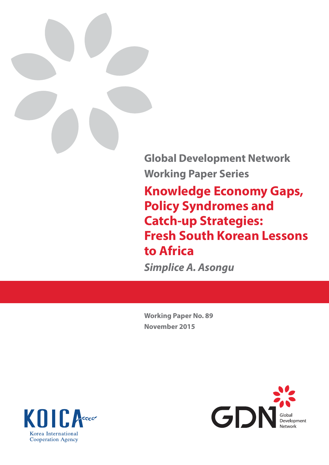

**Global Development Network Working Paper Series**

**Knowledge Economy Gaps, Policy Syndromes and Catch-up Strategies: Fresh South Korean Lessons to Africa**

*Simplice A. Asongu*

**Working Paper No. 89 November 2015**



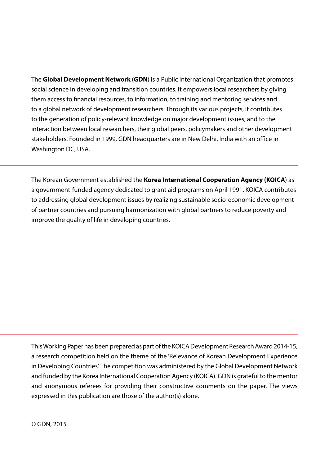The **Global Development Network (GDN**) is a Public International Organization that promotes social science in developing and transition countries. It empowers local researchers by giving them access to financial resources, to information, to training and mentoring services and to a global network of development researchers. Through its various projects, it contributes to the generation of policy-relevant knowledge on major development issues, and to the interaction between local researchers, their global peers, policymakers and other development stakeholders. Founded in 1999, GDN headquarters are in New Delhi, India with an office in Washington DC, USA.

The Korean Government established the **Korea International Cooperation Agency (KOICA**) as a government-funded agency dedicated to grant aid programs on April 1991. KOICA contributes to addressing global development issues by realizing sustainable socio-economic development of partner countries and pursuing harmonization with global partners to reduce poverty and improve the quality of life in developing countries.

This Working Paper has been prepared as part of the KOICA Development Research Award 2014-15, a research competition held on the theme of the 'Relevance of Korean Development Experience in Developing Countries'. The competition was administered by the Global Development Network and funded by the Korea International Cooperation Agency (KOICA). GDN is grateful to the mentor and anonymous referees for providing their constructive comments on the paper. The views expressed in this publication are those of the author(s) alone.

© GDN, 2015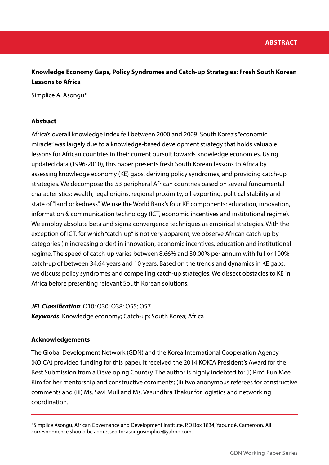## **Knowledge Economy Gaps, Policy Syndromes and Catch-up Strategies: Fresh South Korean Lessons to Africa**

Simplice A. Asongu\*

## **Abstract**

Africa's overall knowledge index fell between 2000 and 2009. South Korea's "economic miracle" was largely due to a knowledge-based development strategy that holds valuable lessons for African countries in their current pursuit towards knowledge economies. Using updated data (1996-2010), this paper presents fresh South Korean lessons to Africa by assessing knowledge economy (KE) gaps, deriving policy syndromes, and providing catch-up strategies. We decompose the 53 peripheral African countries based on several fundamental characteristics: wealth, legal origins, regional proximity, oil-exporting, political stability and state of "landlockedness". We use the World Bank's four KE components: education, innovation, information & communication technology (ICT, economic incentives and institutional regime). We employ absolute beta and sigma convergence techniques as empirical strategies. With the exception of ICT, for which "catch-up" is not very apparent, we observe African catch-up by categories (in increasing order) in innovation, economic incentives, education and institutional regime. The speed of catch-up varies between 8.66% and 30.00% per annum with full or 100% catch-up of between 34.64 years and 10 years. Based on the trends and dynamics in KE gaps, we discuss policy syndromes and compelling catch-up strategies. We dissect obstacles to KE in Africa before presenting relevant South Korean solutions.

## *JEL Classification*: O10; O30; O38; O55; O57 *Keywords*: Knowledge economy; Catch-up; South Korea; Africa

## **Acknowledgements**

The Global Development Network (GDN) and the Korea International Cooperation Agency (KOICA) provided funding for this paper. It received the 2014 KOICA President's Award for the Best Submission from a Developing Country. The author is highly indebted to: (i) Prof. Eun Mee Kim for her mentorship and constructive comments; (ii) two anonymous referees for constructive comments and (iii) Ms. Savi Mull and Ms. Vasundhra Thakur for logistics and networking coordination.

\*Simplice Asongu, African Governance and Development Institute, P.O Box 1834, Yaoundé, Cameroon. All correspondence should be addressed to: asongusimplice@yahoo.com.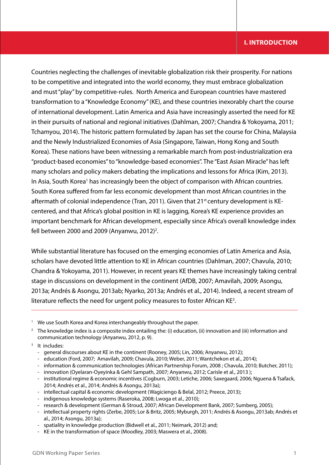## **I. INTRODUCTION**

Countries neglecting the challenges of inevitable globalization risk their prosperity. For nations to be competitive and integrated into the world economy, they must embrace globalization and must "play" by competitive-rules. North America and European countries have mastered transformation to a "Knowledge Economy" (KE), and these countries inexorably chart the course of international development. Latin America and Asia have increasingly asserted the need for KE in their pursuits of national and regional initiatives (Dahlman, 2007; Chandra & Yokoyama, 2011; Tchamyou, 2014). The historic pattern formulated by Japan has set the course for China, Malaysia and the Newly Industrialized Economies of Asia (Singapore, Taiwan, Hong Kong and South Korea). These nations have been witnessing a remarkable march from post-industrialization era "product-based economies" to "knowledge-based economies". The "East Asian Miracle" has left many scholars and policy makers debating the implications and lessons for Africa (Kim, 2013). In Asia, South Korea<sup>1</sup> has increasingly been the object of comparison with African countries. South Korea suffered from far less economic development than most African countries in the aftermath of colonial independence (Tran, 2011). Given that 21<sup>st</sup> century development is KEcentered, and that Africa's global position in KE is lagging, Korea's KE experience provides an important benchmark for African development, especially since Africa's overall knowledge index fell between 2000 and 2009 (Anyanwu, 2012)<sup>2</sup>.

While substantial literature has focused on the emerging economies of Latin America and Asia, scholars have devoted little attention to KE in African countries (Dahlman, 2007; Chavula, 2010; Chandra & Yokoyama, 2011). However, in recent years KE themes have increasingly taking central stage in discussions on development in the continent (AfDB, 2007; Amavilah, 2009; Asongu, 2013a; Andrés & Asongu, 2013ab; Nyarko, 2013a; Andrés et al., 2014). Indeed, a recent stream of literature reflects the need for urgent policy measures to foster African KE<sup>3</sup>.

- <sup>2</sup> The knowledge index is a composite index entailing the: (i) education, (ii) innovation and (iii) information and communication technology (Anyanwu, 2012, p. 9).
- <sup>3</sup> It includes:
	- general discourses about KE in the continent (Rooney, 2005; Lin, 2006; Anyanwu, 2012);
	- education (Ford, 2007; Amavilah, 2009; Chavula, 2010; Weber, 2011; Wantchekon et al., 2014);
	- information & communication technologies (African Partnership Forum, 2008 ; Chavula, 2010; Butcher, 2011);
	- innovation (Oyelaran-Oyeyinka & Gehl Sampath, 2007; Anyanwu, 2012; Carisle et al., 2013 );
	- institutional regime & economic incentives (Cogburn, 2003; Letiche, 2006; Saxegaard, 2006; Nguena & Tsafack, 2014; Andrés et al., 2014; Andrés & Asongu, 2013a);
	- intellectual capital & economic development (Wagiciengo & Belal, 2012; Preece, 2013);
	- indigenous knowledge systems (Raseroka, 2008; Lwoga et al., 2010);
	- research & development (German & Stroud, 2007; African Development Bank, 2007; Sumberg, 2005);
	- intellectual property rights (Zerbe, 2005; Lor & Britz, 2005; Myburgh, 2011; Andrés & Asongu, 2013ab; Andrés et al., 2014; Asongu, 2013a);
	- spatiality in knowledge production (Bidwell et al., 2011; Neimark, 2012) and;
	- KE in the transformation of space (Moodley, 2003; Maswera et al., 2008).

<sup>&</sup>lt;sup>1</sup> We use South Korea and Korea interchangeably throughout the paper.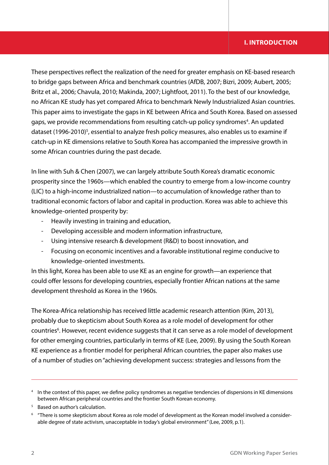## **I. INTRODUCTION**

These perspectives reflect the realization of the need for greater emphasis on KE-based research to bridge gaps between Africa and benchmark countries (AfDB, 2007; Bizri, 2009; Aubert, 2005; Britz et al., 2006; Chavula, 2010; Makinda, 2007; Lightfoot, 2011). To the best of our knowledge, no African KE study has yet compared Africa to benchmark Newly Industrialized Asian countries. This paper aims to investigate the gaps in KE between Africa and South Korea. Based on assessed gaps, we provide recommendations from resulting catch-up policy syndromes<sup>4</sup>. An updated dataset (1996-2010)<sup>5</sup>, essential to analyze fresh policy measures, also enables us to examine if catch-up in KE dimensions relative to South Korea has accompanied the impressive growth in some African countries during the past decade.

In line with Suh & Chen (2007), we can largely attribute South Korea's dramatic economic prosperity since the 1960s—which enabled the country to emerge from a low-income country (LIC) to a high-income industrialized nation—to accumulation of knowledge rather than to traditional economic factors of labor and capital in production. Korea was able to achieve this knowledge-oriented prosperity by:

- Heavily investing in training and education,
- Developing accessible and modern information infrastructure,
- Using intensive research & development (R&D) to boost innovation, and
- Focusing on economic incentives and a favorable institutional regime conducive to knowledge-oriented investments.

In this light, Korea has been able to use KE as an engine for growth—an experience that could offer lessons for developing countries, especially frontier African nations at the same development threshold as Korea in the 1960s.

The Korea-Africa relationship has received little academic research attention (Kim, 2013), probably due to skepticism about South Korea as a role model of development for other countries<sup>6</sup>. However, recent evidence suggests that it can serve as a role model of development for other emerging countries, particularly in terms of KE (Lee, 2009). By using the South Korean KE experience as a frontier model for peripheral African countries, the paper also makes use of a number of studies on "achieving development success: strategies and lessons from the

<sup>4</sup> In the context of this paper, we define policy syndromes as negative tendencies of dispersions in KE dimensions between African peripheral countries and the frontier South Korean economy.

<sup>&</sup>lt;sup>5</sup> Based on author's calculation.

 $6$  "There is some skepticism about Korea as role model of development as the Korean model involved a considerable degree of state activism, unacceptable in today's global environment" (Lee, 2009, p.1).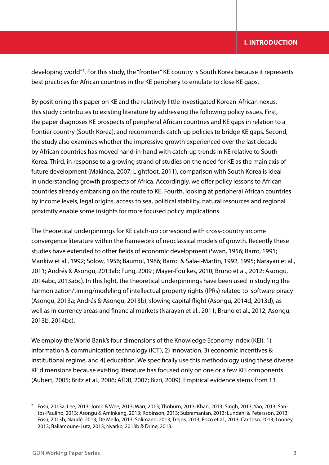developing world"7 . For this study, the "frontier" KE country is South Korea because it represents best practices for African countries in the KE periphery to emulate to close KE gaps.

By positioning this paper on KE and the relatively little investigated Korean-African nexus, this study contributes to existing literature by addressing the following policy issues. First, the paper diagnoses KE prospects of peripheral African countries and KE gaps in relation to a frontier country (South Korea), and recommends catch-up policies to bridge KE gaps. Second, the study also examines whether the impressive growth experienced over the last decade by African countries has moved hand-in-hand with catch-up trends in KE relative to South Korea. Third, in response to a growing strand of studies on the need for KE as the main axis of future development (Makinda, 2007; Lightfoot, 2011), comparison with South Korea is ideal in understanding growth prospects of Africa. Accordingly, we offer policy lessons to African countries already embarking on the route to KE. Fourth, looking at peripheral African countries by income levels, legal origins, access to sea, political stability, natural resources and regional proximity enable some insights for more focused policy implications.

The theoretical underpinnings for KE catch-up correspond with cross-country income convergence literature within the framework of neoclassical models of growth. Recently these studies have extended to other fields of economic development (Swan, 1956; Barro, 1991; Mankiw et al., 1992; Solow, 1956; Baumol, 1986; Barro & Sala-i-Martin, 1992, 1995; Narayan et al., 2011; Andrés & Asongu, 2013ab; Fung, 2009 ; Mayer-Foulkes, 2010; Bruno et al., 2012; Asongu, 2014abc, 2013abc). In this light, the theoretical underpinnings have been used in studying the harmonization/timing/modeling of intellectual property rights (IPRs) related to software piracy (Asongu, 2013a; Andrés & Asongu, 2013b), slowing capital flight (Asongu, 2014d, 2013d), as well as in currency areas and financial markets (Narayan et al., 2011; Bruno et al., 2012; Asongu, 2013b, 2014bc).

We employ the World Bank's four dimensions of the Knowledge Economy Index (KEI): 1) information & communication technology (ICT), 2) innovation, 3) economic incentives & institutional regime, and 4) education. We specifically use this methodology using these diverse KE dimensions because existing literature has focused only on one or a few KEI components (Aubert, 2005; Britz et al., 2006; AfDB, 2007; Bizri, 2009). Empirical evidence stems from 13

<sup>7</sup> Fosu, 2013a; Lee, 2013; Jomo & Wee, 2013; Warr, 2013; Thoburn, 2013; Khan, 2013; Singh, 2013; Yao, 2013; Santos-Paulino, 2013; Asongu & Aminkeng, 2013; Robinson, 2013; Subramanian, 2013; Lundahl & Petersson, 2013; Fosu, 2013b; Naudé, 2013; De Mello, 2013; Solimano, 2013; Trejos, 2013; Pozo et al., 2013; Cardoso, 2013; Looney, 2013; Baliamoune-Lutz, 2013; Nyarko, 2013b & Drine, 2013.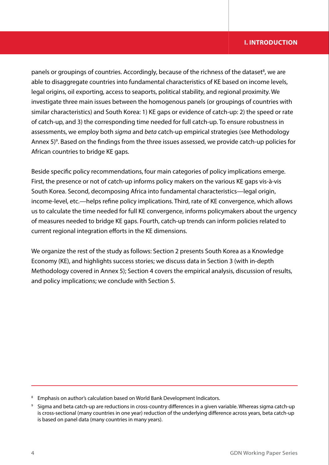## **I. INTRODUCTION**

panels or groupings of countries. Accordingly, because of the richness of the dataset<sup>8</sup>, we are able to disaggregate countries into fundamental characteristics of KE based on income levels, legal origins, oil exporting, access to seaports, political stability, and regional proximity. We investigate three main issues between the homogenous panels (or groupings of countries with similar characteristics) and South Korea: 1) KE gaps or evidence of catch-up: 2) the speed or rate of catch-up, and 3) the corresponding time needed for full catch-up. To ensure robustness in assessments, we employ both *sigma* and *beta* catch-up empirical strategies (see Methodology Annex 5)<sup>9</sup>. Based on the findings from the three issues assessed, we provide catch-up policies for African countries to bridge KE gaps.

Beside specific policy recommendations, four main categories of policy implications emerge. First, the presence or not of catch-up informs policy makers on the various KE gaps vis-à-vis South Korea. Second, decomposing Africa into fundamental characteristics—legal origin, income-level, etc.—helps refine policy implications. Third, rate of KE convergence, which allows us to calculate the time needed for full KE convergence, informs policymakers about the urgency of measures needed to bridge KE gaps. Fourth, catch-up trends can inform policies related to current regional integration efforts in the KE dimensions.

We organize the rest of the study as follows: Section 2 presents South Korea as a Knowledge Economy (KE), and highlights success stories; we discuss data in Section 3 (with in-depth Methodology covered in Annex 5); Section 4 covers the empirical analysis, discussion of results, and policy implications; we conclude with Section 5.

<sup>&</sup>lt;sup>8</sup> Emphasis on author's calculation based on World Bank Development Indicators.

<sup>9</sup> Sigma and beta catch-up are reductions in cross-country differences in a given variable. Whereas sigma catch-up is cross-sectional (many countries in one year) reduction of the underlying difference across years, beta catch-up is based on panel data (many countries in many years).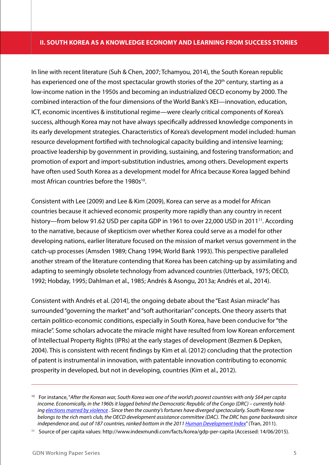### **II. SOUTH KOREA AS A KNOWLEDGE ECONOMY AND LEARNING FROM SUCCESS STORIES**

In line with recent literature (Suh & Chen, 2007; Tchamyou, 2014), the South Korean republic has experienced one of the most spectacular growth stories of the 20<sup>th</sup> century, starting as a low-income nation in the 1950s and becoming an industrialized OECD economy by 2000. The combined interaction of the four dimensions of the World Bank's KEI—innovation, education, ICT, economic incentives & institutional regime—were clearly critical components of Korea's success, although Korea may not have always specifically addressed knowledge components in its early development strategies. Characteristics of Korea's development model included: human resource development fortified with technological capacity building and intensive learning; proactive leadership by government in providing, sustaining, and fostering transformation; and promotion of export and import-substitution industries, among others. Development experts have often used South Korea as a development model for Africa because Korea lagged behind most African countries before the 1980s<sup>10</sup>.

Consistent with Lee (2009) and Lee & Kim (2009), Korea can serve as a model for African countries because it achieved economic prosperity more rapidly than any country in recent history—from below 91.62 USD per capita GDP in 1961 to over 22,000 USD in 2011<sup>11</sup>. According to the narrative, because of skepticism over whether Korea could serve as a model for other developing nations, earlier literature focused on the mission of market versus government in the catch-up processes (Amsden 1989; Chang 1994; World Bank 1993). This perspective paralleled another stream of the literature contending that Korea has been catching-up by assimilating and adapting to seemingly obsolete technology from advanced countries (Utterback, 1975; OECD, 1992; Hobday, 1995; Dahlman et al., 1985; Andrés & Asongu, 2013a; Andrés et al., 2014).

Consistent with Andrés et al. (2014), the ongoing debate about the "East Asian miracle" has surrounded "governing the market" and "soft authoritarian" concepts. One theory asserts that certain politico-economic conditions, especially in South Korea, have been conducive for "the miracle". Some scholars advocate the miracle might have resulted from low Korean enforcement of Intellectual Property Rights (IPRs) at the early stages of development (Bezmen & Depken, 2004). This is consistent with recent findings by Kim et al. (2012) concluding that the protection of patent is instrumental in innovation, with patentable innovation contributing to economic prosperity in developed, but not in developing, countries (Kim et al., 2012).

<sup>10</sup> For instance, "*After the Korean war, South Korea was one of the world's poorest countries with only \$64 per capita income. Economically, in the 1960s it lagged behind the Democratic Republic of the Congo (DRC) – currently holding elections marred by violence . Since then the country's fortunes have diverged spectacularly. South Korea now belongs to the rich man's club, the OECD development assistance committee (DAC). The DRC has gone backwards since independence and, out of 187 countries, ranked bottom in the 2011 Human Development Index*" (Tran, 2011).

<sup>11</sup> Source of per capita values: http://www.indexmundi.com/facts/korea/gdp-per-capita (Accessed: 14/06/2015).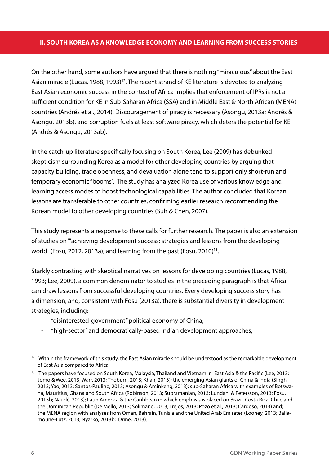## **II. SOUTH KOREA AS A KNOWLEDGE ECONOMY AND LEARNING FROM SUCCESS STORIES**

On the other hand, some authors have argued that there is nothing "miraculous" about the East Asian miracle (Lucas, 1988, 1993)<sup>12</sup>. The recent strand of KE literature is devoted to analyzing East Asian economic success in the context of Africa implies that enforcement of IPRs is not a sufficient condition for KE in Sub-Saharan Africa (SSA) and in Middle East & North African (MENA) countries (Andrés et al., 2014). Discouragement of piracy is necessary (Asongu, 2013a; Andrés & Asongu, 2013b), and corruption fuels at least software piracy, which deters the potential for KE (Andrés & Asongu, 2013ab).

In the catch-up literature specifically focusing on South Korea, Lee (2009) has debunked skepticism surrounding Korea as a model for other developing countries by arguing that capacity building, trade openness, and devaluation alone tend to support only short-run and temporary economic "booms". The study has analyzed Korea use of various knowledge and learning access modes to boost technological capabilities. The author concluded that Korean lessons are transferable to other countries, confirming earlier research recommending the Korean model to other developing countries (Suh & Chen, 2007).

This study represents a response to these calls for further research. The paper is also an extension of studies on '"achieving development success: strategies and lessons from the developing world" (Fosu, 2012, 2013a), and learning from the past (Fosu, 2010)<sup>13</sup>.

Starkly contrasting with skeptical narratives on lessons for developing countries (Lucas, 1988, 1993; Lee, 2009), a common denominator to studies in the preceding paragraph is that Africa can draw lessons from successful developing countries. Every developing success story has a dimension, and, consistent with Fosu (2013a), there is substantial diversity in development strategies, including:

- "disinterested-government" political economy of China;
- "high-sector" and democratically-based Indian development approaches;

<sup>&</sup>lt;sup>12</sup> Within the framework of this study, the East Asian miracle should be understood as the remarkable development of East Asia compared to Africa.

<sup>&</sup>lt;sup>13</sup> The papers have focused on South Korea, Malaysia, Thailand and Vietnam in East Asia & the Pacific (Lee, 2013; Jomo & Wee, 2013; Warr, 2013; Thoburn, 2013; Khan, 2013); the emerging Asian giants of China & India (Singh, 2013; Yao, 2013; Santos-Paulino, 2013; Asongu & Aminkeng, 2013); sub-Saharan Africa with examples of Botswana, Mauritius, Ghana and South Africa (Robinson, 2013; Subramanian, 2013; Lundahl & Petersson, 2013; Fosu, 2013b; Naudé, 2013); Latin America & the Caribbean in which emphasis is placed on Brazil, Costa Rica, Chile and the Dominican Republic (De Mello, 2013; Solimano, 2013; Trejos, 2013; Pozo et al., 2013; Cardoso, 2013) and; the MENA region with analyses from Oman, Bahrain, Tunisia and the United Arab Emirates (Looney, 2013; Baliamoune-Lutz, 2013; Nyarko, 2013b; Drine, 2013).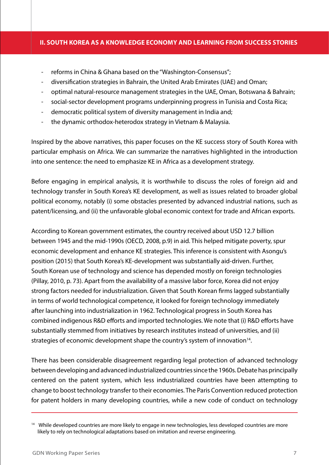## **II. SOUTH KOREA AS A KNOWLEDGE ECONOMY AND LEARNING FROM SUCCESS STORIES**

- reforms in China & Ghana based on the "Washington-Consensus";
- diversification strategies in Bahrain, the United Arab Emirates (UAE) and Oman;
- optimal natural-resource management strategies in the UAE, Oman, Botswana & Bahrain;
- social-sector development programs underpinning progress in Tunisia and Costa Rica;
- democratic political system of diversity management in India and;
- the dynamic orthodox-heterodox strategy in Vietnam & Malaysia.

Inspired by the above narratives, this paper focuses on the KE success story of South Korea with particular emphasis on Africa. We can summarize the narratives highlighted in the introduction into one sentence: the need to emphasize KE in Africa as a development strategy.

Before engaging in empirical analysis, it is worthwhile to discuss the roles of foreign aid and technology transfer in South Korea's KE development, as well as issues related to broader global political economy, notably (i) some obstacles presented by advanced industrial nations, such as patent/licensing, and (ii) the unfavorable global economic context for trade and African exports.

According to Korean government estimates, the country received about USD 12.7 billion between 1945 and the mid-1990s (OECD, 2008, p.9) in aid. This helped mitigate poverty, spur economic development and enhance KE strategies. This inference is consistent with Asongu's position (2015) that South Korea's KE-development was substantially aid-driven. Further, South Korean use of technology and science has depended mostly on foreign technologies (Pillay, 2010, p. 73). Apart from the availability of a massive labor force, Korea did not enjoy strong factors needed for industrialization. Given that South Korean firms lagged substantially in terms of world technological competence, it looked for foreign technology immediately after launching into industrialization in 1962. Technological progress in South Korea has combined indigenous R&D efforts and imported technologies. We note that (i) R&D efforts have substantially stemmed from initiatives by research institutes instead of universities, and (ii) strategies of economic development shape the country's system of innovation<sup>14</sup>.

There has been considerable disagreement regarding legal protection of advanced technology between developing and advanced industrialized countries since the 1960s. Debate has principally centered on the patent system, which less industrialized countries have been attempting to change to boost technology transfer to their economies. The Paris Convention reduced protection for patent holders in many developing countries, while a new code of conduct on technology

<sup>&</sup>lt;sup>14</sup> While developed countries are more likely to engage in new technologies, less developed countries are more likely to rely on technological adaptations based on imitation and reverse engineering.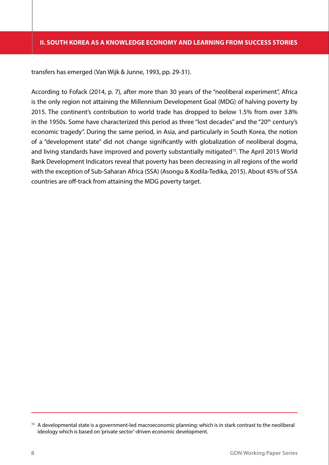transfers has emerged (Van Wijk & Junne, 1993, pp. 29-31).

According to Fofack (2014, p. 7), after more than 30 years of the "neoliberal experiment", Africa is the only region not attaining the Millennium Development Goal (MDG) of halving poverty by 2015. The continent's contribution to world trade has dropped to below 1.5% from over 3.8% in the 1950s. Some have characterized this period as three "lost decades" and the "20<sup>th</sup> century's economic tragedy". During the same period, in Asia, and particularly in South Korea, the notion of a "development state" did not change significantly with globalization of neoliberal dogma, and living standards have improved and poverty substantially mitigated<sup>15</sup>. The April 2015 World Bank Development Indicators reveal that poverty has been decreasing in all regions of the world with the exception of Sub-Saharan Africa (SSA) (Asongu & Kodila-Tedika, 2015). About 45% of SSA countries are off-track from attaining the MDG poverty target.

<sup>&</sup>lt;sup>15</sup> A developmental state is a government-led macroeconomic planning: which is in stark contrast to the neoliberal ideology which is based on 'private sector'-driven economic development.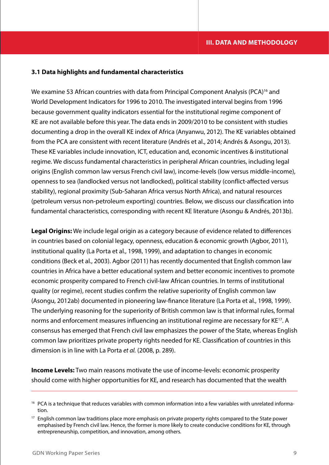## **3.1 Data highlights and fundamental characteristics**

We examine 53 African countries with data from Principal Component Analysis (PCA)<sup>16</sup> and World Development Indicators for 1996 to 2010. The investigated interval begins from 1996 because government quality indicators essential for the institutional regime component of KE are not available before this year. The data ends in 2009/2010 to be consistent with studies documenting a drop in the overall KE index of Africa (Anyanwu, 2012). The KE variables obtained from the PCA are consistent with recent literature (Andrés et al., 2014; Andrés & Asongu, 2013). These KE variables include innovation, ICT, education and, economic incentives & institutional regime. We discuss fundamental characteristics in peripheral African countries, including legal origins (English common law versus French civil law), income-levels (low versus middle-income), openness to sea (landlocked versus not landlocked), political stability (conflict-affected versus stability), regional proximity (Sub-Saharan Africa versus North Africa), and natural resources (petroleum versus non-petroleum exporting) countries. Below, we discuss our classification into fundamental characteristics, corresponding with recent KE literature (Asongu & Andrés, 2013b).

**Legal Origins:** We include legal origin as a category because of evidence related to differences in countries based on colonial legacy, openness, education & economic growth (Agbor, 2011), institutional quality (La Porta et al., 1998, 1999), and adaptation to changes in economic conditions (Beck et al., 2003). Agbor (2011) has recently documented that English common law countries in Africa have a better educational system and better economic incentives to promote economic prosperity compared to French civil-law African countries. In terms of institutional quality (or regime), recent studies confirm the relative superiority of English common law (Asongu, 2012ab) documented in pioneering law-finance literature (La Porta et al., 1998, 1999). The underlying reasoning for the superiority of British common law is that informal rules, formal norms and enforcement measures influencing an institutional regime are necessary for KE<sup>17</sup>. A consensus has emerged that French civil law emphasizes the power of the State, whereas English common law prioritizes private property rights needed for KE. Classification of countries in this dimension is in line with La Porta *et al.* (2008, p. 289).

**Income Levels:** Two main reasons motivate the use of income-levels: economic prosperity should come with higher opportunities for KE, and research has documented that the wealth

<sup>&</sup>lt;sup>16</sup> PCA is a technique that reduces variables with common information into a few variables with unrelated information.

<sup>&</sup>lt;sup>17</sup> English common law traditions place more emphasis on private property rights compared to the State power emphasised by French civil law. Hence, the former is more likely to create conducive conditions for KE, through entrepreneurship, competition, and innovation, among others.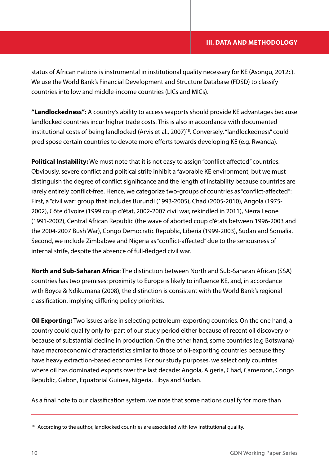status of African nations is instrumental in institutional quality necessary for KE (Asongu, 2012c). We use the World Bank's Financial Development and Structure Database (FDSD) to classify countries into low and middle-income countries (LICs and MICs).

**"Landlockedness":** A country's ability to access seaports should provide KE advantages because landlocked countries incur higher trade costs. This is also in accordance with documented institutional costs of being landlocked (Arvis et al., 2007)<sup>18</sup>. Conversely, "landlockedness" could predispose certain countries to devote more efforts towards developing KE (e.g. Rwanda).

**Political Instability:** We must note that it is not easy to assign "conflict-affected" countries. Obviously, severe conflict and political strife inhibit a favorable KE environment, but we must distinguish the degree of conflict significance and the length of instability because countries are rarely entirely conflict-free. Hence, we categorize two-groups of countries as "conflict-affected": First, a "civil war" group that includes Burundi (1993-2005), Chad (2005-2010), Angola (1975- 2002), Côte d'Ivoire (1999 coup d'état, 2002-2007 civil war, rekindled in 2011), Sierra Leone (1991-2002), Central African Republic (the wave of aborted coup d'états between 1996-2003 and the 2004-2007 Bush War), Congo Democratic Republic, Liberia (1999-2003), Sudan and Somalia. Second, we include Zimbabwe and Nigeria as "conflict-affected" due to the seriousness of internal strife, despite the absence of full-fledged civil war.

**North and Sub-Saharan Africa**: The distinction between North and Sub-Saharan African (SSA) countries has two premises: proximity to Europe is likely to influence KE, and, in accordance with Boyce & Ndikumana (2008), the distinction is consistent with the World Bank's regional classification, implying differing policy priorities.

**Oil Exporting:** Two issues arise in selecting petroleum-exporting countries. On the one hand, a country could qualify only for part of our study period either because of recent oil discovery or because of substantial decline in production. On the other hand, some countries (e.g Botswana) have macroeconomic characteristics similar to those of oil-exporting countries because they have heavy extraction-based economies. For our study purposes, we select only countries where oil has dominated exports over the last decade: Angola, Algeria, Chad, Cameroon, Congo Republic, Gabon, Equatorial Guinea, Nigeria, Libya and Sudan.

As a final note to our classification system, we note that some nations qualify for more than

<sup>&</sup>lt;sup>18</sup> According to the author, landlocked countries are associated with low institutional quality.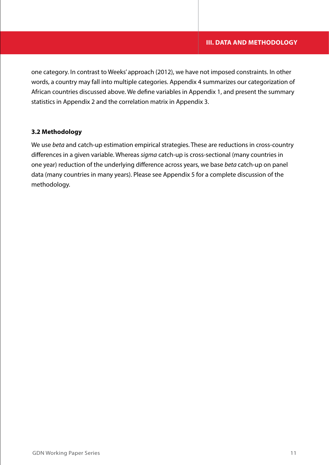one category. In contrast to Weeks' approach (2012), we have not imposed constraints. In other words, a country may fall into multiple categories. Appendix 4 summarizes our categorization of African countries discussed above. We define variables in Appendix 1, and present the summary statistics in Appendix 2 and the correlation matrix in Appendix 3.

## **3.2 Methodology**

We use *beta* and catch-up estimation empirical strategies. These are reductions in cross-country differences in a given variable. Whereas *sigma* catch-up is cross-sectional (many countries in one year) reduction of the underlying difference across years, we base *beta* catch-up on panel data (many countries in many years). Please see Appendix 5 for a complete discussion of the methodology.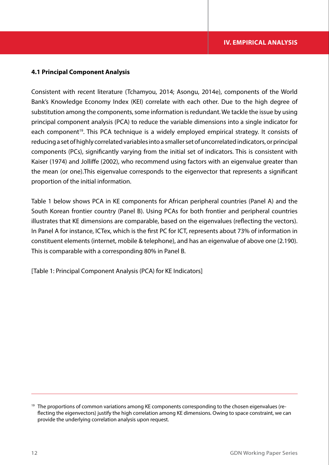### **4.1 Principal Component Analysis**

Consistent with recent literature (Tchamyou, 2014; Asongu, 2014e), components of the World Bank's Knowledge Economy Index (KEI) correlate with each other. Due to the high degree of substitution among the components, some information is redundant. We tackle the issue by using principal component analysis (PCA) to reduce the variable dimensions into a single indicator for each component<sup>19</sup>. This PCA technique is a widely employed empirical strategy. It consists of reducing a set of highly correlated variables into a smaller set of uncorrelated indicators, or principal components (PCs), significantly varying from the initial set of indicators. This is consistent with Kaiser (1974) and Jolliffe (2002), who recommend using factors with an eigenvalue greater than the mean (or one).This eigenvalue corresponds to the eigenvector that represents a significant proportion of the initial information.

Table 1 below shows PCA in KE components for African peripheral countries (Panel A) and the South Korean frontier country (Panel B). Using PCAs for both frontier and peripheral countries illustrates that KE dimensions are comparable, based on the eigenvalues (reflecting the vectors). In Panel A for instance, ICTex, which is the first PC for ICT, represents about 73% of information in constituent elements (internet, mobile & telephone), and has an eigenvalue of above one (2.190). This is comparable with a corresponding 80% in Panel B.

[Table 1: Principal Component Analysis (PCA) for KE Indicators]

<sup>&</sup>lt;sup>19</sup> The proportions of common variations among KE components corresponding to the chosen eigenvalues (reflecting the eigenvectors) justify the high correlation among KE dimensions. Owing to space constraint, we can provide the underlying correlation analysis upon request.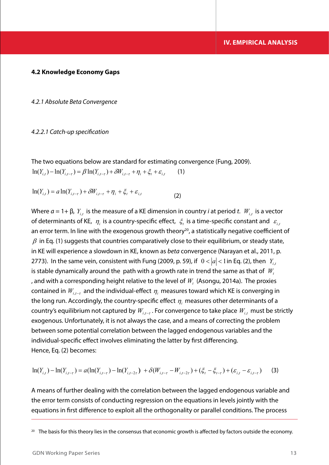#### **4.2 Knowledge Economy Gaps**

*4.2.1 Absolute Beta Convergence* 

#### *4.2.2.1 Catch-up specification*

The two equations below are standard for estimating convergence (Fung, 2009).  $\ln(Y_{i,t}) - \ln(Y_{i,t-\tau}) = \beta \ln(Y_{i,t-\tau}) + \delta W_{i,t-\tau} + \eta_i + \xi_t + \varepsilon_{i,t}$  (1)

 $\ln(Y_{i,t}) = a \ln(Y_{i,t-\tau}) + \delta W_{i,t-\tau} + \eta_i + \xi_t + \varepsilon_{i,t}$  (2)

Where  $a = 1 + \beta$ ,  $Y_{i,t}$  is the measure of a KE dimension in country *i* at period *t*. *W<sub>it</sub>* is a vector of determinants of KE,  $\eta_i$  is a country-specific effect,  $\zeta_i$  is a time-specific constant and  $\varepsilon_{i,t}$ an error term. In line with the exogenous growth theory<sup>20</sup>, a statistically negative coefficient of  $\beta$  in Eq. (1) suggests that countries comparatively close to their equilibrium, or steady state, in KE will experience a slowdown in KE, known as *beta* convergence (Narayan et al., 2011, p. 2773). In the same vein, consistent with Fung (2009, p. 59), if  $0 < |a| < 1$  in Eq. (2), then  $Y_{i,t}$ is stable dynamically around the path with a growth rate in trend the same as that of  $W_t$ , and with a corresponding height relative to the level of  $W_t$  (Asongu, 2014a). The proxies contained in  $W_{i,t-\tau}$  and the individual-effect  $\eta_i$  measures toward which KE is converging in the long run. Accordingly, the country-specific effect  $\eta_i$  measures other determinants of a country's equilibrium not captured by  $W_{i,t-\tau}$ . For convergence to take place  $W_{i,t}$  must be strictly exogenous. Unfortunately, it is not always the case, and a means of correcting the problem between some potential correlation between the lagged endogenous variables and the individual-specific effect involves eliminating the latter by first differencing. Hence, Eq. (2) becomes:

$$
\ln(Y_{i,t}) - \ln(Y_{i,t-\tau}) = a(\ln(Y_{i,t-\tau}) - \ln(Y_{i,t-2\tau}) + \delta(W_{i,t-\tau} - W_{i,t-2\tau}) + (\xi_t - \xi_{t-\tau}) + (\varepsilon_{i,t} - \varepsilon_{i,t-\tau})
$$
(3)

A means of further dealing with the correlation between the lagged endogenous variable and the error term consists of conducting regression on the equations in levels jointly with the equations in first difference to exploit all the orthogonality or parallel conditions. The process

 $20$  The basis for this theory lies in the consensus that economic growth is affected by factors outside the economy.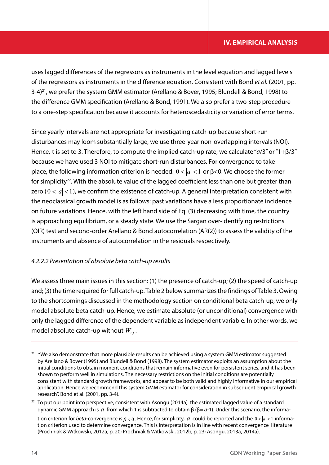uses lagged differences of the regressors as instruments in the level equation and lagged levels of the regressors as instruments in the difference equation. Consistent with Bond *et al.* (2001, pp. 3-4)<sup>21</sup>, we prefer the system GMM estimator (Arellano & Bover, 1995; Blundell & Bond, 1998) to the difference GMM specification (Arellano & Bond, 1991). We also prefer a two-step procedure to a one-step specification because it accounts for heteroscedasticity or variation of error terms.

Since yearly intervals are not appropriate for investigating catch-up because short-run disturbances may loom substantially large, we use three-year non-overlapping intervals (NOI). Hence, τ is set to 3. Therefore, to compute the implied catch-up rate, we calculate "*a*/3" or "1+β/3" because we have used 3 NOI to mitigate short-run disturbances. For convergence to take place, the following information criterion is needed:  $0 < |a| < 1$  or β<0. We choose the former for simplicity<sup>22</sup>. With the absolute value of the lagged coefficient less than one but greater than zero ( $0 < |a| < 1$ ), we confirm the existence of catch-up. A general interpretation consistent with the neoclassical growth model is as follows: past variations have a less proportionate incidence on future variations. Hence, with the left hand side of Eq. (3) decreasing with time, the country is approaching equilibrium, or a steady state. We use the Sargan over-identifying restrictions (OIR) test and second-order Arellano & Bond autocorrelation (AR(2)) to assess the validity of the instruments and absence of autocorrelation in the residuals respectively.

## *4.2.2.2 Presentation of absolute beta catch-up results*

We assess three main issues in this section: (1) the presence of catch-up; (2) the speed of catch-up and; (3) the time required for full catch-up. Table 2 below summarizes the findings of Table 3. Owing to the shortcomings discussed in the methodology section on conditional beta catch-up, we only model absolute beta catch-up. Hence, we estimate absolute (or unconditional) convergence with only the lagged difference of the dependent variable as independent variable. In other words, we model absolute catch-up without  $W_{i,t}$ .

<sup>&</sup>lt;sup>21</sup> "We also demonstrate that more plausible results can be achieved using a system GMM estimator suggested by Arellano & Bover (1995) and Blundell & Bond (1998). The system estimator exploits an assumption about the initial conditions to obtain moment conditions that remain informative even for persistent series, and it has been shown to perform well in simulations. The necessary restrictions on the initial conditions are potentially consistent with standard growth frameworks, and appear to be both valid and highly informative in our empirical application. Hence we recommend this system GMM estimator for consideration in subsequent empirical growth research". Bond et al. (2001, pp. 3-4).

 $22$  To put our point into perspective, consistent with Asongu (2014a) the estimated lagged value of a standard dynamic GMM approach is *a* from which 1 is subtracted to obtain β (β= *a*-1). Under this scenario, the information criterion for *beta*-convergence is  $\beta < 0$ . Hence, for simplicity, *a* could be reported and the  $0 < |a| < 1$  information criterion used to determine convergence. This is interpretation is in line with recent convergence literature (Prochniak & Witkowski, 2012a, p. 20; Prochniak & Witkowski, 2012b, p. 23; Asongu, 2013a, 2014a).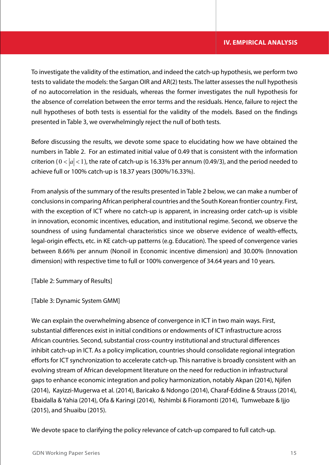To investigate the validity of the estimation, and indeed the catch-up hypothesis, we perform two tests to validate the models: the Sargan OIR and AR(2) tests. The latter assesses the null hypothesis of no autocorrelation in the residuals, whereas the former investigates the null hypothesis for the absence of correlation between the error terms and the residuals. Hence, failure to reject the null hypotheses of both tests is essential for the validity of the models. Based on the findings presented in Table 3, we overwhelmingly reject the null of both tests.

Before discussing the results, we devote some space to elucidating how we have obtained the numbers in Table 2. For an estimated initial value of 0.49 that is consistent with the information criterion ( $0 < |a| < 1$ ), the rate of catch-up is 16.33% per annum (0.49/3), and the period needed to achieve full or 100% catch-up is 18.37 years (300%/16.33%).

From analysis of the summary of the results presented in Table 2 below, we can make a number of conclusions in comparing African peripheral countries and the South Korean frontier country. First, with the exception of ICT where no catch-up is apparent, in increasing order catch-up is visible in innovation, economic incentives, education, and institutional regime. Second, we observe the soundness of using fundamental characteristics since we observe evidence of wealth-effects, legal-origin effects, etc. in KE catch-up patterns (e.g. Education). The speed of convergence varies between 8.66% per annum (Nonoil in Economic incentive dimension) and 30.00% (Innovation dimension) with respective time to full or 100% convergence of 34.64 years and 10 years.

[Table 2: Summary of Results]

[Table 3: Dynamic System GMM]

We can explain the overwhelming absence of convergence in ICT in two main ways. First, substantial differences exist in initial conditions or endowments of ICT infrastructure across African countries. Second, substantial cross-country institutional and structural differences inhibit catch-up in ICT. As a policy implication, countries should consolidate regional integration efforts for ICT synchronization to accelerate catch-up. This narrative is broadly consistent with an evolving stream of African development literature on the need for reduction in infrastructural gaps to enhance economic integration and policy harmonization, notably Akpan (2014), Njifen (2014), Kayizzi-Mugerwa et al. (2014), Baricako & Ndongo (2014), Charaf-Eddine & Strauss (2014), Ebaidalla & Yahia (2014), Ofa & Karingi (2014), Nshimbi & Fioramonti (2014), Tumwebaze & Ijjo (2015), and Shuaibu (2015).

We devote space to clarifying the policy relevance of catch-up compared to full catch-up.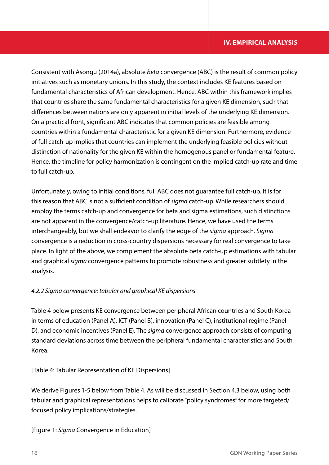Consistent with Asongu (2014a), absolute *beta* convergence (ABC) is the result of common policy initiatives such as monetary unions. In this study, the context includes KE features based on fundamental characteristics of African development. Hence, ABC within this framework implies that countries share the same fundamental characteristics for a given KE dimension, such that differences between nations are only apparent in initial levels of the underlying KE dimension. On a practical front, significant ABC indicates that common policies are feasible among countries within a fundamental characteristic for a given KE dimension. Furthermore, evidence of full catch-up implies that countries can implement the underlying feasible policies without distinction of nationality for the given KE within the homogenous panel or fundamental feature. Hence, the timeline for policy harmonization is contingent on the implied catch-up rate and time to full catch-up.

Unfortunately, owing to initial conditions, full ABC does not guarantee full catch-up. It is for this reason that ABC is not a sufficient condition of *sigma* catch-up. While researchers should employ the terms catch-up and convergence for beta and sigma estimations, such distinctions are not apparent in the convergence/catch-up literature. Hence, we have used the terms interchangeably, but we shall endeavor to clarify the edge of the *sigma* approach. *Sigma* convergence is a reduction in cross-country dispersions necessary for real convergence to take place. In light of the above, we complement the absolute beta catch-up estimations with tabular and graphical *sigma* convergence patterns to promote robustness and greater subtlety in the analysis.

## *4.2.2 Sigma convergence: tabular and graphical KE dispersions*

Table 4 below presents KE convergence between peripheral African countries and South Korea in terms of education (Panel A), ICT (Panel B), innovation (Panel C), institutional regime (Panel D), and economic incentives (Panel E). The *sigma* convergence approach consists of computing standard deviations across time between the peripheral fundamental characteristics and South Korea.

[Table 4: Tabular Representation of KE Dispersions]

We derive Figures 1-5 below from Table 4. As will be discussed in Section 4.3 below, using both tabular and graphical representations helps to calibrate "policy syndromes" for more targeted/ focused policy implications/strategies.

[Figure 1: *Sigma* Convergence in Education]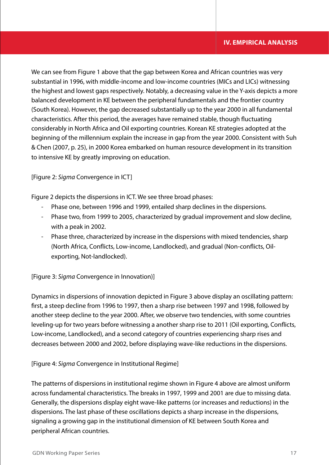We can see from Figure 1 above that the gap between Korea and African countries was very substantial in 1996, with middle-income and low-income countries (MICs and LICs) witnessing the highest and lowest gaps respectively. Notably, a decreasing value in the Y-axis depicts a more balanced development in KE between the peripheral fundamentals and the frontier country (South Korea). However, the gap decreased substantially up to the year 2000 in all fundamental characteristics. After this period, the averages have remained stable, though fluctuating considerably in North Africa and Oil exporting countries. Korean KE strategies adopted at the beginning of the millennium explain the increase in gap from the year 2000. Consistent with Suh & Chen (2007, p. 25), in 2000 Korea embarked on human resource development in its transition to intensive KE by greatly improving on education.

## [Figure 2: *Sigma* Convergence in ICT]

Figure 2 depicts the dispersions in ICT. We see three broad phases:

- Phase one, between 1996 and 1999, entailed sharp declines in the dispersions.
- Phase two, from 1999 to 2005, characterized by gradual improvement and slow decline, with a peak in 2002.
- Phase three, characterized by increase in the dispersions with mixed tendencies, sharp (North Africa, Conflicts, Low-income, Landlocked), and gradual (Non-conflicts, Oilexporting, Not-landlocked).

[Figure 3: *Sigma* Convergence in Innovation)]

Dynamics in dispersions of innovation depicted in Figure 3 above display an oscillating pattern: first, a steep decline from 1996 to 1997, then a sharp rise between 1997 and 1998, followed by another steep decline to the year 2000. After, we observe two tendencies, with some countries leveling-up for two years before witnessing a another sharp rise to 2011 (Oil exporting, Conflicts, Low-income, Landlocked), and a second category of countries experiencing sharp rises and decreases between 2000 and 2002, before displaying wave-like reductions in the dispersions.

## [Figure 4: *Sigma* Convergence in Institutional Regime]

The patterns of dispersions in institutional regime shown in Figure 4 above are almost uniform across fundamental characteristics. The breaks in 1997, 1999 and 2001 are due to missing data. Generally, the dispersions display eight wave-like patterns (or increases and reductions) in the dispersions. The last phase of these oscillations depicts a sharp increase in the dispersions, signaling a growing gap in the institutional dimension of KE between South Korea and peripheral African countries.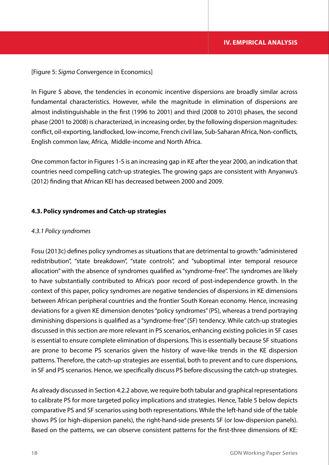### [Figure 5: *Sigma* Convergence in Economics]

In Figure 5 above, the tendencies in economic incentive dispersions are broadly similar across fundamental characteristics. However, while the magnitude in elimination of dispersions are almost indistinguishable in the first (1996 to 2001) and third (2008 to 2010) phases, the second phase (2001 to 2008) is characterized, in increasing order, by the following dispersion magnitudes: conflict, oil-exporting, landlocked, low-income, French civil law, Sub-Saharan Africa, Non-conflicts, English common law, Africa, Middle-income and North Africa.

One common factor in Figures 1-5 is an increasing gap in KE after the year 2000, an indication that countries need compelling catch-up strategies. The growing gaps are consistent with Anyanwu's (2012) finding that African KEI has decreased between 2000 and 2009.

#### **4.3. Policy syndromes and Catch-up strategies**

#### *4.3.1 Policy syndromes*

Fosu (2013c) defines policy syndromes as situations that are detrimental to growth: "administered redistribution", "state breakdown", "state controls", and "suboptimal inter temporal resource allocation" with the absence of syndromes qualified as "syndrome-free". The syndromes are likely to have substantially contributed to Africa's poor record of post-independence growth. In the context of this paper, policy syndromes are negative tendencies of dispersions in KE dimensions between African peripheral countries and the frontier South Korean economy. Hence, increasing deviations for a given KE dimension denotes "policy syndromes" (PS), whereas a trend portraying diminishing dispersions is qualified as a "syndrome-free" (SF) tendency. While catch-up strategies discussed in this section are more relevant in PS scenarios, enhancing existing policies in SF cases is essential to ensure complete elimination of dispersions. This is essentially because SF situations are prone to become PS scenarios given the history of wave-like trends in the KE dispersion patterns. Therefore, the catch-up strategies are essential, both to prevent and to cure dispersions, in SF and PS scenarios. Hence, we specifically discuss PS before discussing the catch-up strategies.

As already discussed in Section 4.2.2 above, we require both tabular and graphical representations to calibrate PS for more targeted policy implications and strategies. Hence, Table 5 below depicts comparative PS and SF scenarios using both representations. While the left-hand side of the table shows PS (or high-dispersion panels), the right-hand-side presents SF (or low-dispersion panels). Based on the patterns, we can observe consistent patterns for the first-three dimensions of KE: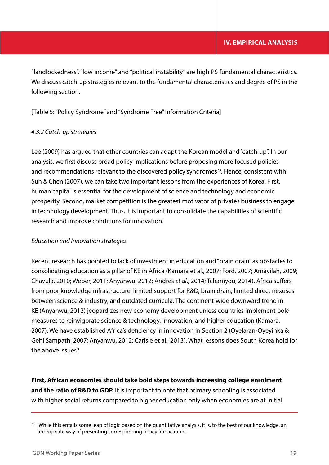"landlockedness", "low income" and "political instability" are high PS fundamental characteristics. We discuss catch-up strategies relevant to the fundamental characteristics and degree of PS in the following section.

[Table 5: "Policy Syndrome" and "Syndrome Free" Information Criteria]

## *4.3.2 Catch-up strategies*

Lee (2009) has argued that other countries can adapt the Korean model and "catch-up". In our analysis, we first discuss broad policy implications before proposing more focused policies and recommendations relevant to the discovered policy syndromes<sup>23</sup>. Hence, consistent with Suh & Chen (2007), we can take two important lessons from the experiences of Korea. First, human capital is essential for the development of science and technology and economic prosperity. Second, market competition is the greatest motivator of privates business to engage in technology development. Thus, it is important to consolidate the capabilities of scientific research and improve conditions for innovation.

## *Education and Innovation strategies*

Recent research has pointed to lack of investment in education and "brain drain" as obstacles to consolidating education as a pillar of KE in Africa (Kamara et al., 2007; Ford, 2007; Amavilah, 2009; Chavula, 2010; Weber, 2011; Anyanwu, 2012; Andres *et al*., 2014; Tchamyou, 2014). Africa suffers from poor knowledge infrastructure, limited support for R&D, brain drain, limited direct nexuses between science & industry, and outdated curricula. The continent-wide downward trend in KE (Anyanwu, 2012) jeopardizes new economy development unless countries implement bold measures to reinvigorate science & technology, innovation, and higher education (Kamara, 2007). We have established Africa's deficiency in innovation in Section 2 (Oyelaran-Oyeyinka & Gehl Sampath, 2007; Anyanwu, 2012; Carisle et al., 2013). What lessons does South Korea hold for the above issues?

**First, African economies should take bold steps towards increasing college enrolment and the ratio of R&D to GDP.** It is important to note that primary schooling is associated with higher social returns compared to higher education only when economies are at initial

 $23$  While this entails some leap of logic based on the quantitative analysis, it is, to the best of our knowledge, an appropriate way of presenting corresponding policy implications.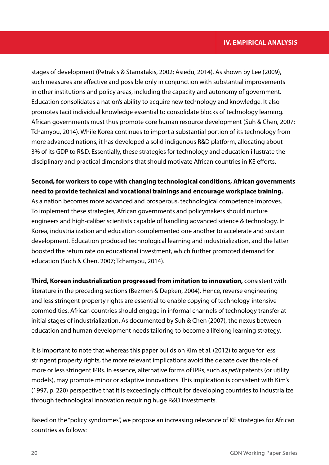stages of development (Petrakis & Stamatakis, 2002; Asiedu, 2014). As shown by Lee (2009), such measures are effective and possible only in conjunction with substantial improvements in other institutions and policy areas, including the capacity and autonomy of government. Education consolidates a nation's ability to acquire new technology and knowledge. It also promotes tacit individual knowledge essential to consolidate blocks of technology learning. African governments must thus promote core human resource development (Suh & Chen, 2007; Tchamyou, 2014). While Korea continues to import a substantial portion of its technology from more advanced nations, it has developed a solid indigenous R&D platform, allocating about 3% of its GDP to R&D. Essentially, these strategies for technology and education illustrate the disciplinary and practical dimensions that should motivate African countries in KE efforts.

## **Second, for workers to cope with changing technological conditions, African governments need to provide technical and vocational trainings and encourage workplace training.**

As a nation becomes more advanced and prosperous, technological competence improves. To implement these strategies, African governments and policymakers should nurture engineers and high-caliber scientists capable of handling advanced science & technology. In Korea, industrialization and education complemented one another to accelerate and sustain development. Education produced technological learning and industrialization, and the latter boosted the return rate on educational investment, which further promoted demand for education (Such & Chen, 2007; Tchamyou, 2014).

**Third, Korean industrialization progressed from imitation to innovation,** consistent with literature in the preceding sections (Bezmen & Depken, 2004). Hence, reverse engineering and less stringent property rights are essential to enable copying of technology-intensive commodities. African countries should engage in informal channels of technology transfer at initial stages of industrialization. As documented by Suh & Chen (2007), the nexus between education and human development needs tailoring to become a lifelong learning strategy.

It is important to note that whereas this paper builds on Kim et al. (2012) to argue for less stringent property rights, the more relevant implications avoid the debate over the role of more or less stringent IPRs. In essence, alternative forms of IPRs, such as *petit* patents (or utility models), may promote minor or adaptive innovations. This implication is consistent with Kim's (1997, p. 220) perspective that it is exceedingly difficult for developing countries to industrialize through technological innovation requiring huge R&D investments.

Based on the "policy syndromes", we propose an increasing relevance of KE strategies for African countries as follows: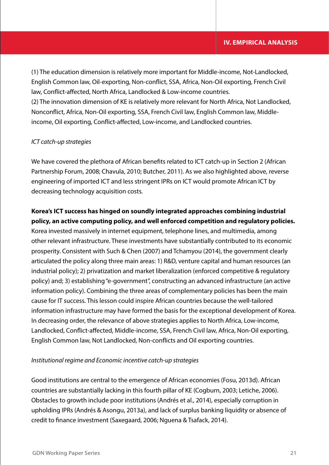(1) The education dimension is relatively more important for Middle-income, Not-Landlocked, English Common law, Oil-exporting, Non-conflict, SSA, Africa, Non-Oil exporting, French Civil law, Conflict-affected, North Africa, Landlocked & Low-income countries. (2) The innovation dimension of KE is relatively more relevant for North Africa, Not Landlocked, Nonconflict, Africa, Non-Oil exporting, SSA, French Civil law, English Common law, Middleincome, Oil exporting, Conflict-affected, Low-income, and Landlocked countries.

## *ICT catch-up strategies*

We have covered the plethora of African benefits related to ICT catch-up in Section 2 (African Partnership Forum, 2008; Chavula, 2010; Butcher, 2011). As we also highlighted above, reverse engineering of imported ICT and less stringent IPRs on ICT would promote African ICT by decreasing technology acquisition costs.

## **Korea's ICT success has hinged on soundly integrated approaches combining industrial policy, an active computing policy, and well enforced competition and regulatory policies.**

Korea invested massively in internet equipment, telephone lines, and multimedia, among other relevant infrastructure. These investments have substantially contributed to its economic prosperity. Consistent with Such & Chen (2007) and Tchamyou (2014), the government clearly articulated the policy along three main areas: 1) R&D, venture capital and human resources (an industrial policy); 2) privatization and market liberalization (enforced competitive & regulatory policy) and; 3) establishing "e-government", constructing an advanced infrastructure (an active information policy). Combining the three areas of complementary policies has been the main cause for IT success. This lesson could inspire African countries because the well-tailored information infrastructure may have formed the basis for the exceptional development of Korea. In decreasing order, the relevance of above strategies applies to North Africa, Low-income, Landlocked, Conflict-affected, Middle-income, SSA, French Civil law, Africa, Non-Oil exporting, English Common law, Not Landlocked, Non-conflicts and Oil exporting countries.

## *Institutional regime and Economic incentive catch-up strategies*

Good institutions are central to the emergence of African economies (Fosu, 2013d). African countries are substantially lacking in this fourth pillar of KE (Cogburn, 2003; Letiche, 2006). Obstacles to growth include poor institutions (Andrés et al., 2014), especially corruption in upholding IPRs (Andrés & Asongu, 2013a), and lack of surplus banking liquidity or absence of credit to finance investment (Saxegaard, 2006; Nguena & Tsafack, 2014).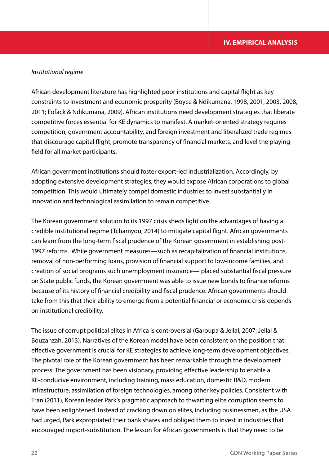## *Institutional regime*

African development literature has highlighted poor institutions and capital flight as key constraints to investment and economic prosperity (Boyce & Ndikumana, 1998, 2001, 2003, 2008, 2011; Fofack & Ndikumana, 2009). African institutions need development strategies that liberate competitive forces essential for KE dynamics to manifest. A market-oriented strategy requires competition, government accountability, and foreign investment and liberalized trade regimes that discourage capital flight, promote transparency of financial markets, and level the playing field for all market participants.

African government institutions should foster export-led industrialization. Accordingly, by adopting extensive development strategies, they would expose African corporations to global competition. This would ultimately compel domestic industries to invest substantially in innovation and technological assimilation to remain competitive.

The Korean government solution to its 1997 crisis sheds light on the advantages of having a credible institutional regime (Tchamyou, 2014) to mitigate capital flight. African governments can learn from the long-term fiscal prudence of the Korean government in establishing post-1997 reforms. While government measures—such as recapitalization of financial institutions, removal of non-performing loans, provision of financial support to low-income families, and creation of social programs such unemployment insurance— placed substantial fiscal pressure on State public funds, the Korean government was able to issue new bonds to finance reforms because of its history of financial credibility and fiscal prudence. African governments should take from this that their ability to emerge from a potential financial or economic crisis depends on institutional credibility.

The issue of corrupt political elites in Africa is controversial (Garoupa & Jellal, 2007; Jellal & Bouzahzah, 2013). Narratives of the Korean model have been consistent on the position that effective government is crucial for KE strategies to achieve long-term development objectives. The pivotal role of the Korean government has been remarkable through the development process. The government has been visionary, providing effective leadership to enable a KE-conducive environment, including training, mass education, domestic R&D, modern infrastructure, assimilation of foreign technologies, among other key policies. Consistent with Tran (2011), Korean leader Park's pragmatic approach to thwarting elite corruption seems to have been enlightened. Instead of cracking down on elites, including businessmen, as the USA had urged, Park expropriated their bank shares and obliged them to invest in industries that encouraged import-substitution. The lesson for African governments is that they need to be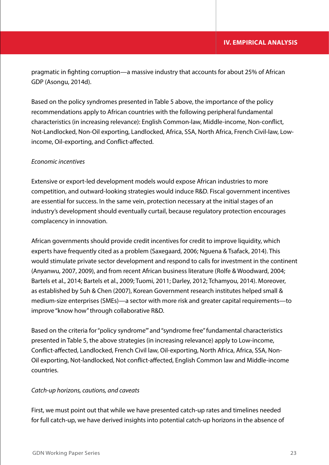pragmatic in fighting corruption—a massive industry that accounts for about 25% of African GDP (Asongu, 2014d).

Based on the policy syndromes presented in Table 5 above, the importance of the policy recommendations apply to African countries with the following peripheral fundamental characteristics (in increasing relevance): English Common-law, Middle-income, Non-conflict, Not-Landlocked, Non-Oil exporting, Landlocked, Africa, SSA, North Africa, French Civil-law, Lowincome, Oil-exporting, and Conflict-affected.

## *Economic incentives*

Extensive or export-led development models would expose African industries to more competition, and outward-looking strategies would induce R&D. Fiscal government incentives are essential for success. In the same vein, protection necessary at the initial stages of an industry's development should eventually curtail, because regulatory protection encourages complacency in innovation.

African governments should provide credit incentives for credit to improve liquidity, which experts have frequently cited as a problem (Saxegaard, 2006; Nguena & Tsafack, 2014). This would stimulate private sector development and respond to calls for investment in the continent (Anyanwu, 2007, 2009), and from recent African business literature (Rolfe & Woodward, 2004; Bartels et al., 2014; Bartels et al., 2009; Tuomi, 2011; Darley, 2012; Tchamyou, 2014). Moreover, as established by Suh & Chen (2007), Korean Government research institutes helped small & medium-size enterprises (SMEs)—a sector with more risk and greater capital requirements—to improve "know how" through collaborative R&D.

Based on the criteria for "policy syndrome"' and "syndrome free" fundamental characteristics presented in Table 5, the above strategies (in increasing relevance) apply to Low-income, Conflict-affected, Landlocked, French Civil law, Oil-exporting, North Africa, Africa, SSA, Non-Oil exporting, Not-landlocked, Not conflict-affected, English Common law and Middle-income countries.

## *Catch-up horizons, cautions, and caveats*

First, we must point out that while we have presented catch-up rates and timelines needed for full catch-up, we have derived insights into potential catch-up horizons in the absence of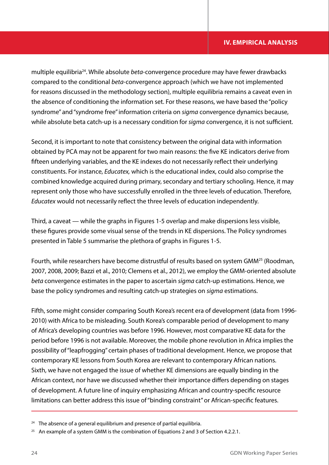multiple equilibria24. While absolute *beta*-convergence procedure may have fewer drawbacks compared to the conditional *beta*-convergence approach (which we have not implemented for reasons discussed in the methodology section), multiple equilibria remains a caveat even in the absence of conditioning the information set. For these reasons, we have based the "policy syndrome" and "syndrome free" information criteria on *sigma* convergence dynamics because, while absolute beta catch-up is a necessary condition for *sigma* convergence, it is not sufficient.

Second, it is important to note that consistency between the original data with information obtained by PCA may not be apparent for two main reasons: the five KE indicators derive from fifteen underlying variables, and the KE indexes do not necessarily reflect their underlying constituents. For instance, *Educatex,* which is the educational index, could also comprise the combined knowledge acquired during primary, secondary and tertiary schooling. Hence, it may represent only those who have successfully enrolled in the three levels of education. Therefore, *Educatex* would not necessarily reflect the three levels of education independently.

Third, a caveat — while the graphs in Figures 1-5 overlap and make dispersions less visible, these figures provide some visual sense of the trends in KE dispersions. The Policy syndromes presented in Table 5 summarise the plethora of graphs in Figures 1-5.

Fourth, while researchers have become distrustful of results based on system GMM25 (Roodman, 2007, 2008, 2009; Bazzi et al., 2010; Clemens et al., 2012), we employ the GMM-oriented absolute *beta* convergence estimates in the paper to ascertain *sigma* catch-up estimations. Hence, we base the policy syndromes and resulting catch-up strategies on *sigma* estimations.

Fifth, some might consider comparing South Korea's recent era of development (data from 1996- 2010) with Africa to be misleading. South Korea's comparable period of development to many of Africa's developing countries was before 1996. However, most comparative KE data for the period before 1996 is not available. Moreover, the mobile phone revolution in Africa implies the possibility of "leapfrogging" certain phases of traditional development. Hence, we propose that contemporary KE lessons from South Korea are relevant to contemporary African nations. Sixth, we have not engaged the issue of whether KE dimensions are equally binding in the African context, nor have we discussed whether their importance differs depending on stages of development. A future line of inquiry emphasizing African and country-specific resource limitations can better address this issue of "binding constraint" or African-specific features.

<sup>&</sup>lt;sup>24</sup> The absence of a general equilibrium and presence of partial equilibria.

<sup>&</sup>lt;sup>25</sup> An example of a system GMM is the combination of Equations 2 and 3 of Section 4.2.2.1.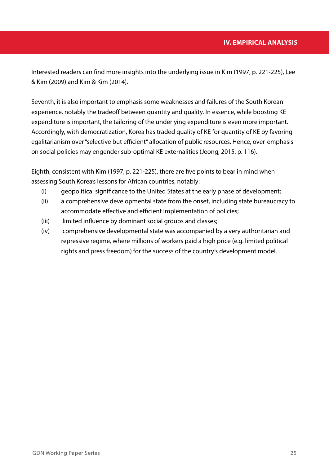Interested readers can find more insights into the underlying issue in Kim (1997, p. 221-225), Lee & Kim (2009) and Kim & Kim (2014).

Seventh, it is also important to emphasis some weaknesses and failures of the South Korean experience, notably the tradeoff between quantity and quality. In essence, while boosting KE expenditure is important, the tailoring of the underlying expenditure is even more important. Accordingly, with democratization, Korea has traded quality of KE for quantity of KE by favoring egalitarianism over "selective but efficient" allocation of public resources. Hence, over-emphasis on social policies may engender sub-optimal KE externalities (Jeong, 2015, p. 116).

Eighth, consistent with Kim (1997, p. 221-225), there are five points to bear in mind when assessing South Korea's lessons for African countries, notably:

- (i) geopolitical significance to the United States at the early phase of development;
- (ii) a comprehensive developmental state from the onset, including state bureaucracy to accommodate effective and efficient implementation of policies;
- (iii) limited influence by dominant social groups and classes;
- (iv) comprehensive developmental state was accompanied by a very authoritarian and repressive regime, where millions of workers paid a high price (e.g. limited political rights and press freedom) for the success of the country's development model.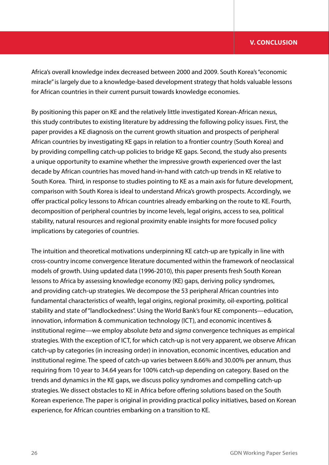Africa's overall knowledge index decreased between 2000 and 2009. South Korea's "economic miracle" is largely due to a knowledge-based development strategy that holds valuable lessons for African countries in their current pursuit towards knowledge economies.

By positioning this paper on KE and the relatively little investigated Korean-African nexus, this study contributes to existing literature by addressing the following policy issues. First, the paper provides a KE diagnosis on the current growth situation and prospects of peripheral African countries by investigating KE gaps in relation to a frontier country (South Korea) and by providing compelling catch-up policies to bridge KE gaps. Second, the study also presents a unique opportunity to examine whether the impressive growth experienced over the last decade by African countries has moved hand-in-hand with catch-up trends in KE relative to South Korea. Third, in response to studies pointing to KE as a main axis for future development, comparison with South Korea is ideal to understand Africa's growth prospects. Accordingly, we offer practical policy lessons to African countries already embarking on the route to KE. Fourth, decomposition of peripheral countries by income levels, legal origins, access to sea, political stability, natural resources and regional proximity enable insights for more focused policy implications by categories of countries.

The intuition and theoretical motivations underpinning KE catch-up are typically in line with cross-country income convergence literature documented within the framework of neoclassical models of growth. Using updated data (1996-2010), this paper presents fresh South Korean lessons to Africa by assessing knowledge economy (KE) gaps, deriving policy syndromes, and providing catch-up strategies. We decompose the 53 peripheral African countries into fundamental characteristics of wealth, legal origins, regional proximity, oil-exporting, political stability and state of "landlockedness". Using the World Bank's four KE components—education, innovation, information & communication technology (ICT), and economic incentives & institutional regime—we employ absolute *beta* and *sigma* convergence techniques as empirical strategies. With the exception of ICT, for which catch-up is not very apparent, we observe African catch-up by categories (in increasing order) in innovation, economic incentives, education and institutional regime. The speed of catch-up varies between 8.66% and 30.00% per annum, thus requiring from 10 year to 34.64 years for 100% catch-up depending on category. Based on the trends and dynamics in the KE gaps, we discuss policy syndromes and compelling catch-up strategies. We dissect obstacles to KE in Africa before offering solutions based on the South Korean experience. The paper is original in providing practical policy initiatives, based on Korean experience, for African countries embarking on a transition to KE.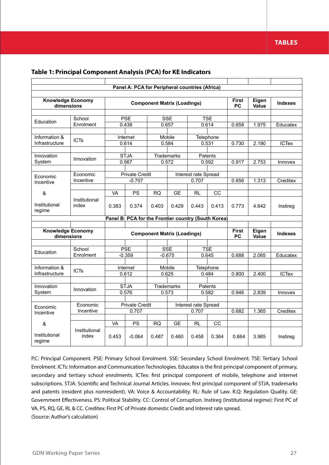## **TABLES**

|                                        |                        |           | Panel A: PCA for Peripheral countries (Africa)      |                                    |                        |                               |                     |                           |                |                |
|----------------------------------------|------------------------|-----------|-----------------------------------------------------|------------------------------------|------------------------|-------------------------------|---------------------|---------------------------|----------------|----------------|
| <b>Knowledge Economy</b><br>dimensions |                        |           |                                                     | <b>Component Matrix (Loadings)</b> |                        |                               |                     | <b>First</b><br><b>PC</b> | Eigen<br>Value | <b>Indexes</b> |
|                                        | School                 |           | <b>PSE</b>                                          |                                    | <b>SSE</b>             |                               | <b>TSE</b>          |                           |                |                |
| Education                              | Enrolment              |           | 0.438                                               |                                    | 0.657                  |                               | 0.614               | 0.658                     | 1.975          | Educatex       |
|                                        |                        |           |                                                     |                                    |                        |                               |                     |                           |                |                |
| Information &<br>Infrastructure        | <b>ICTs</b>            |           | Internet<br>0.614                                   |                                    | Mobile<br>0.584        | 0.531                         | Telephone           | 0.730                     | 2.190          | <b>ICTex</b>   |
| Innovation                             |                        |           | <b>STJA</b>                                         |                                    | Trademarks             |                               | Patents             |                           |                |                |
| System                                 | Innovation             |           | 0.567                                               |                                    | 0.572                  |                               | 0.592               | 0.917                     | 2.753          | Innovex        |
|                                        |                        |           |                                                     |                                    |                        |                               |                     |                           |                |                |
| Economic<br>Incentive                  | Economic<br>Incentive  |           | <b>Private Credit</b><br>$-0.707$                   |                                    |                        | Interest rate Spread<br>0.707 |                     | 0.656                     | 1.313          | Creditex       |
|                                        |                        |           |                                                     |                                    |                        |                               |                     |                           |                |                |
| &                                      |                        | VA        | PS                                                  | <b>RQ</b>                          | <b>GE</b>              | RL                            | CC                  |                           |                |                |
| Institutional<br>regime                | Institutional<br>index | 0.383     | 0.374                                               | 0.403                              | 0.429                  | 0.443                         | 0.413               | 0.773                     | 4.642          | Instireg       |
|                                        |                        |           | Panel B: PCA for the Frontier country (South Korea) |                                    |                        |                               |                     |                           |                |                |
|                                        |                        |           |                                                     |                                    |                        |                               |                     |                           |                |                |
| <b>Knowledge Economy</b><br>dimensions |                        |           |                                                     | <b>Component Matrix (Loadings)</b> |                        |                               |                     | <b>First</b><br><b>PC</b> | Eigen<br>Value | <b>Indexes</b> |
|                                        |                        |           |                                                     |                                    |                        |                               |                     |                           |                |                |
| Education                              | School<br>Enrolment    |           | <b>PSE</b><br>$-0.359$                              |                                    | <b>SSE</b><br>$-0.675$ |                               | <b>TSE</b><br>0.645 | 0.688                     | 2.065          | Educatex       |
|                                        |                        |           |                                                     |                                    |                        |                               |                     |                           |                |                |
| Information &                          | <b>ICTs</b>            |           | Internet                                            |                                    | Mobile                 |                               | Telephone           |                           |                |                |
| Infrastructure                         |                        |           | 0.612                                               |                                    | 0.625                  |                               | 0.484               | 0.800                     | 2.400          | <b>ICTex</b>   |
| Innovation                             | Innovation             |           | <b>STJA</b>                                         |                                    | Trademarks             |                               | Patents             |                           |                |                |
| System                                 |                        |           | 0.576                                               |                                    | 0.573                  |                               | 0.582               | 0.946                     | 2.839          | Innovex        |
| Economic                               | Economic               |           | <b>Private Credit</b>                               |                                    |                        | Interest rate Spread          |                     |                           |                |                |
| Incentive                              | Incentive              |           | 0.707                                               |                                    |                        | 0.707                         |                     | 0.682                     | 1.365          | Creditex       |
| &                                      |                        | <b>VA</b> | PS                                                  | <b>RQ</b>                          | <b>GE</b>              | RL                            | CC                  |                           |                |                |
| Institutional<br>regime                | Institutional<br>index | 0.453     | $-0.064$                                            | 0.487                              | 0.460                  | 0.458                         | 0.364               | 0.664                     | 3.985          | Instireg       |

P.C: Principal Component. PSE: Primary School Enrolment. SSE: Secondary School Enrolment. TSE: Tertiary School Enrolment. ICTs: Information and Communication Technologies. Educatex is the first principal component of primary, secondary and tertiary school enrolments. ICTex: first principal component of mobile, telephone and internet subscriptions. STJA: Scientific and Technical Journal Articles. Innovex: first principal component of STJA, trademarks and patents (resident plus nonresident). VA: Voice & Accountability. RL: Rule of Law. R.Q: Regulation Quality. GE: Government Effectiveness. PS: Political Stability. CC: Control of Corruption. Instireg (Institutional regime): First PC of VA, PS, RQ, GE, RL & CC. Creditex: First PC of Private domestic Credit and Interest rate spread. (Source: Author's calculation)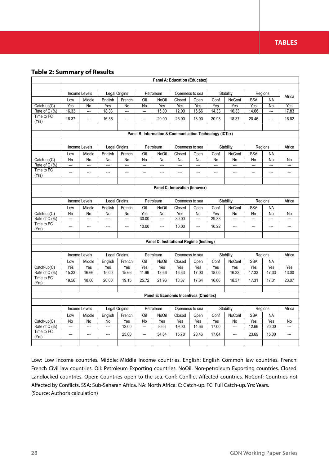## **Table 2: Summary of Results**

|                                 |                      |                      |                                |                                |                          |                                | Panel A: Education (Educatex)                           |                 |              |                                |                                |                          |                                |
|---------------------------------|----------------------|----------------------|--------------------------------|--------------------------------|--------------------------|--------------------------------|---------------------------------------------------------|-----------------|--------------|--------------------------------|--------------------------------|--------------------------|--------------------------------|
|                                 |                      |                      |                                |                                |                          |                                |                                                         |                 |              |                                |                                |                          |                                |
|                                 |                      | Income Levels        | Legal Origins                  |                                |                          | Petroleum                      |                                                         | Openness to sea |              | Stability                      |                                | Regions                  | Africa                         |
|                                 | Low                  | Middle               | English                        | French                         | Oil                      | NoOil                          | Closed                                                  | Open            | Conf         | NoConf                         | <b>SSA</b>                     | <b>NA</b>                |                                |
| $Catch-up(C)$                   | Yes                  | No                   | Yes                            | No                             | No                       | Yes                            | Yes                                                     | Yes             | Yes          | Yes                            | Yes                            | No                       | Yes                            |
| Rate of C (%)<br>Time to FC     | 16.33                | ---                  | 18.33                          | $\overline{\phantom{a}}$       | ---                      | 15.00                          | 12.00                                                   | 16.66           | 14.33        | 16.33                          | 14.66                          | ---                      | 17.83                          |
| (Yrs)                           | 18.37                | ---                  | 16.36                          | $\overline{\phantom{a}}$       | $\overline{\phantom{a}}$ | 20.00                          | 25.00                                                   | 18.00           | 20.93        | 18.37                          | 20.46                          | $\overline{\phantom{a}}$ | 16.82                          |
|                                 |                      |                      |                                |                                |                          |                                |                                                         |                 |              |                                |                                |                          |                                |
|                                 |                      |                      |                                |                                |                          |                                | Panel B: Information & Communication Technology (ICTex) |                 |              |                                |                                |                          |                                |
|                                 |                      |                      |                                |                                |                          |                                |                                                         |                 |              |                                |                                |                          |                                |
|                                 |                      | Income Levels        | Legal Origins                  |                                |                          | Petroleum                      |                                                         | Openness to sea |              | Stability                      |                                | Regions                  | Africa                         |
|                                 | Low                  | Middle               | English                        | French                         | Oil                      | <b>NoOil</b>                   | Closed                                                  | Open            | Conf         | NoConf                         | <b>SSA</b>                     | <b>NA</b>                |                                |
| $\overline{\text{Catch-up}(C)}$ | No                   | No                   | No                             | No                             | No                       | No                             | No                                                      | No              | No           | No                             | No                             | No                       | No                             |
| Rate of $C(\%)$                 | ---                  | ---                  | ---                            | ---                            | ---                      | ---                            | ---                                                     | ---             | ---          | ---                            | ---                            | ---                      | ---                            |
| Time to FC<br>(Yrs)             | ---                  | ---                  | ---                            | ---                            | ---                      | ---                            | ---                                                     | ---             | ---          | ---                            | ---                            | ---                      | ---                            |
|                                 |                      |                      |                                |                                |                          |                                |                                                         |                 |              |                                |                                |                          |                                |
|                                 |                      |                      |                                |                                |                          |                                | Panel C: Innovation (Innovex)                           |                 |              |                                |                                |                          |                                |
|                                 |                      |                      |                                |                                |                          |                                |                                                         |                 |              |                                |                                |                          |                                |
|                                 |                      | Income Levels        | Legal Origins                  |                                |                          | Petroleum                      |                                                         | Openness to sea |              | Stability                      |                                | Regions                  | Africa                         |
|                                 | Low                  | Middle               | English                        | French                         | Oil                      | <b>NoOil</b>                   | Closed                                                  | Open            | Conf         | NoConf                         | <b>SSA</b>                     | <b>NA</b>                |                                |
| $Catch-up(C)$<br>Rate of C (%)  | No<br>$\overline{a}$ | No<br>$\overline{a}$ | No<br>$\overline{\phantom{a}}$ | No<br>$\overline{\phantom{a}}$ | Yes<br>30.00             | No<br>$\overline{\phantom{a}}$ | Yes<br>30.00                                            | No<br>---       | Yes<br>29.33 | No<br>$\overline{\phantom{a}}$ | No<br>$\overline{\phantom{a}}$ | No<br>$\overline{a}$     | No<br>$\overline{\phantom{a}}$ |
| Time to FC                      |                      |                      |                                |                                |                          |                                |                                                         |                 |              |                                |                                |                          |                                |
| (Yrs)                           | ---                  | ---                  | ---                            | ---                            | 10.00                    | ---                            | 10.00                                                   | ---             | 10.22        | ---                            | ---                            | ---                      | ---                            |
|                                 |                      |                      |                                |                                |                          |                                | Panel D: Institutional Regime (Instireg)                |                 |              |                                |                                |                          |                                |
|                                 |                      |                      |                                |                                |                          |                                |                                                         |                 |              |                                |                                |                          |                                |
|                                 |                      | Income Levels        | Legal Origins                  |                                |                          | Petroleum                      |                                                         | Openness to sea |              | Stability                      |                                | Regions                  | Africa                         |
|                                 | Low                  | Middle               | English                        | French                         | Oil                      | NoOil                          | Closed                                                  | Open            | Conf         | NoConf                         | <b>SSA</b>                     | <b>NA</b>                |                                |
| Catch-up(C)                     | Yes                  | Yes                  | Yes                            | Yes                            | Yes                      | Yes                            | Yes                                                     | <b>Yes</b>      | Yes          | Yes                            | Yes                            | Yes                      | Yes                            |
| Rate of C (%)<br>Time to FC     | 15.33                | 16.66                | 15.00                          | 15.66                          | 11.66                    | 13.66                          | 16.33                                                   | 17.00           | 18.00        | 16.33                          | 17.33                          | 17.33                    | 13.00                          |
| (Yrs)                           | 19.56                | 18.00                | 20.00                          | 19.15                          | 25.72                    | 21.96                          | 18.37                                                   | 17.64           | 16.66        | 18.37                          | 17.31                          | 17.31                    | 23.07                          |
|                                 |                      |                      |                                |                                |                          |                                |                                                         |                 |              |                                |                                |                          |                                |
|                                 |                      |                      |                                |                                |                          |                                | Panel E: Economic Incentives (Creditex)                 |                 |              |                                |                                |                          |                                |
|                                 |                      |                      |                                |                                |                          |                                |                                                         |                 |              |                                |                                |                          |                                |
|                                 |                      | Income Levels        | Legal Origins                  |                                |                          | Petroleum                      |                                                         | Openness to sea |              | Stability                      |                                | Regions                  | Africa                         |
|                                 | Low                  | Middle               | English                        | French                         | Oil                      | NoOil                          | Closed                                                  | Open            | Conf         | NoConf                         | <b>SSA</b>                     | <b>NA</b>                |                                |
| Catch-up(C)                     | No                   | No                   | N <sub>o</sub>                 | Yes                            | N <sub>o</sub>           | Yes                            | Yes                                                     | Yes             | Yes          | No                             | Yes                            | Yes                      | N <sub>o</sub>                 |
| Rate of C (%)                   | $\overline{a}$       | $\overline{a}$       | $\overline{a}$                 | 12.00                          | $\overline{a}$           | 8.66                           | 19.00                                                   | 14.66           | 17.00        | $\overline{\phantom{a}}$       | 12.66                          | 20.00                    | $\overline{\phantom{a}}$       |
| Time to FC<br>(Yrs)             | $\overline{a}$       | $---$                | $\overline{a}$                 | 25.00                          | $\overline{a}$           | 34.64                          | 15.78                                                   | 20.46           | 17.64        | $\overline{a}$                 | 23.69                          | 15.00                    | $\overline{a}$                 |
|                                 |                      |                      |                                |                                |                          |                                |                                                         |                 |              |                                |                                |                          |                                |

Low: Low Income countries. Middle: Middle Income countries. English: English Common law countries. French: French Civil law countries. Oil: Petroleum Exporting countries. NoOil: Non-petroleum Exporting countries. Closed: Landlocked countries. Open: Countries open to the sea. Conf: Conflict Affected countries. NoConf: Countries not Affected by Conflicts. SSA: Sub-Saharan Africa. NA: North Africa. C: Catch-up. FC: Full Catch-up. Yrs: Years. (Source: Author's calculation)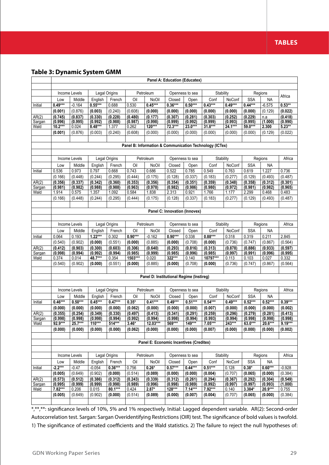## **Table 3: Dynamic System GMM**

|                 |                    |                    |                    |                    |                    |                                          | Panel A: Education (Educatex) |                    |                                                         |                    |                    |                    |                    |
|-----------------|--------------------|--------------------|--------------------|--------------------|--------------------|------------------------------------------|-------------------------------|--------------------|---------------------------------------------------------|--------------------|--------------------|--------------------|--------------------|
|                 |                    |                    |                    |                    |                    |                                          |                               |                    |                                                         |                    |                    |                    |                    |
|                 |                    | Income Levels      |                    | Legal Origins      |                    | Petroleum                                |                               | Openness to sea    | Stability                                               |                    |                    | Regions            | Africa             |
|                 | Low                | Middle             | English            | French             | Oil                | NoOil                                    | Closed                        | Open               | Conf                                                    | NoConf             | <b>SSA</b>         | <b>NA</b>          |                    |
| Initial         | $0.49***$          | $-0.164$           | $0.55***$          | 0.688              | 0.530              | $0.45***$                                | $0.36***$                     | $0.50***$          | $0.43***$                                               | $0.49***$          | $0.44***$          | $-6.575$           | $0.53**$           |
|                 | (0.001)            | (0.876)            | (0.003)            | (0.240)            | (0.608)            | (0.000)                                  | (0.000)                       | (0.000)            | (0.000)                                                 | (0.000)            | (0.000)            | (0.129)            | (0.022)            |
| AR(2)<br>Sargan | (0.745)<br>(0.996) | (0.837)<br>(0.995) | (0.330)<br>(0.992) | (0.228)<br>(0.988) | (0.480)<br>(0.987) | (0.177)<br>(0.998)                       | (0.307)<br>(0.999)            | (0.281)<br>(0.992) | (0.303)<br>(0.999)                                      | (0.252)<br>(0.993) | (0.229)<br>(0.995) | n.a<br>(1.000)     | (0.418)<br>(0.990) |
| Wald            | $10.2***$          | 0.024              | 8.48***            | 1.377              | 0.262              | $120***$                                 | 72.3***                       | $23.0***$          | $31.8***$                                               | 24.1***            | $59.0***$          | 2.300              | $5.23**$           |
|                 | (0.001)            | (0.876)            | (0.003)            | (0.240)            | (0.608)            | (0.000)                                  | (0.000)                       | (0.000)            | (0.000)                                                 | (0.000)            | (0.000)            | (0.129)            | (0.022)            |
|                 |                    |                    |                    |                    |                    |                                          |                               |                    |                                                         |                    |                    |                    |                    |
|                 |                    |                    |                    |                    |                    |                                          |                               |                    | Panel B: Information & Communication Technology (ICTex) |                    |                    |                    |                    |
|                 |                    |                    |                    |                    |                    |                                          |                               |                    |                                                         |                    |                    |                    |                    |
|                 |                    | Income Levels      |                    | Legal Origins      |                    | Petroleum                                |                               | Openness to sea    | Stability                                               |                    |                    | Regions            | Africa             |
|                 | Low                | Middle             | English            | French             | Oil                | NoOil                                    | Closed                        | Open               | Conf                                                    | NoConf             | <b>SSA</b>         | <b>NA</b>          |                    |
| Initial         | 0.536              | 0.973              | 0.797              | 0.668              | 0.743              | 0.686                                    | 0.522                         | 0.785              | 0.549                                                   | 0.763              | 0.619              | 1.227              | 0.736              |
|                 | (0.166)            | (0.448)            | (0.244)            | (0.295)            | (0.444)            | (0.175)                                  | (0.128)                       | (0.337)            | (0.183)                                                 | (0.277)            | (0.129)            | (0.493)            | (0.487)            |
| AR(2)           | (0.356)            | (0.337)            | (0.342)            | (0.360)            | (0.353)            | (0.356)                                  | (0.354)                       | (0.351)            | (0.359)                                                 | (0.348)            | (0.358)            | (0.312)            | (0.301)            |
| Sargan          | (0.981)            | (0.982)            | (0.988)            | (0.988)            | (0.963)            | (0.978)                                  | (0.982)                       | (0.986)            | (0.980)                                                 | (0.972)            | (0.981)            | (0.982)            | (0.965)            |
| Wald            | 1.914              | 0.575              | 1.357              | 1.092              | 0.584              | 1.838                                    | 2.313                         | 0.921              | 1.766                                                   | 1.177              | 2.299              | 0.468              | 0.483              |
|                 | (0.166)            | (0.448)            | (0.244)            | (0.295)            | (0.444)            | (0.175)                                  | (0.128)                       | (0.337)            | (0.183)                                                 | (0.277)            | (0.129)            | (0.493)            | (0.487)            |
|                 |                    |                    |                    |                    |                    |                                          |                               |                    |                                                         |                    |                    |                    |                    |
|                 |                    |                    |                    |                    |                    |                                          | Panel C: Innovation (Innovex) |                    |                                                         |                    |                    |                    |                    |
|                 |                    |                    |                    |                    |                    |                                          |                               |                    |                                                         |                    |                    |                    |                    |
|                 |                    | Income Levels      |                    | Legal Origins      |                    | Petroleum                                |                               | Openness to sea    | Stability                                               |                    |                    | Regions            | Africa             |
|                 | Low                | Middle             | English            | French             | Oil                | NoOil                                    | Closed                        | Open               | Conf                                                    | NoConf             | <b>SSA</b>         | <b>NA</b>          |                    |
| Initial         | 0.064              | 0.193              | $1.22***$          | 0.302              | $0.90***$          | $-0.162$                                 | $0.90***$                     | 0.338              | $0.88***$                                               | 0.318              | 0.319              | 0.211              | 2.845              |
|                 | (0.540)            | (0.902)            | (0.000)            | (0.551)            | (0.000)            | (0.885)                                  | (0.000)                       | (0.708)            | (0.000)                                                 | (0.736)            | (0.747)            | (0.867)            | (0.564)            |
| AR(2)<br>Sargan | (0.412)<br>(0.998) | (0.903)<br>(0.994) | (0.300)<br>(0.992) | (0.603)<br>(0.994) | (0.306)<br>(0.985) | (0.640)<br>(0.999)                       | (0.293)<br>(0.985)            | (0.816)<br>(0.996) | (0.313)<br>(0.985)                                      | (0.878)<br>(0.997) | (0.886)<br>(0.991) | (0.933)<br>(0.996) | (0.597)<br>(0.995) |
| Wald            | 0.374              | 0.014              | 48.7***            | 0.354              | 1503***            | 0.020                                    | $322***$                      | 0.140              | 10797***                                                | 0.113              | 0.103              | 0.027              | 0.332              |
|                 | (0.540)            | (0.902)            | (0.000)            | (0.551)            | (0.000)            | (0.885)                                  | (0.000)                       | (0.708)            | (0.000)                                                 | (0.736)            | (0.747)            | (0.867)            | (0.564)            |
|                 |                    |                    |                    |                    |                    |                                          |                               |                    |                                                         |                    |                    |                    |                    |
|                 |                    |                    |                    |                    |                    | Panel D: Institutional Regime (Instireg) |                               |                    |                                                         |                    |                    |                    |                    |
|                 |                    |                    |                    |                    |                    |                                          |                               |                    |                                                         |                    |                    |                    |                    |
|                 |                    | Income Levels      |                    | Legal Origins      |                    | Petroleum                                |                               | Openness to sea    | Stability                                               |                    |                    | Regions            | Africa             |
|                 | Low                | Middle             | English            | French             | Oil                | NoOil                                    | Closed                        | Open               | Conf                                                    | NoConf             | <b>SSA</b>         | NA                 |                    |
| Initial         | $0.46***$          | $0.50***$          | $0.45***$          | $0.47***$          | $0.35*$            | $0.41***$                                | $0.49***$                     | $0.51***$          | $0.54***$                                               | $0.49***$          | $0.52***$          | $0.52***$          | $0.39***$          |
|                 | (0.000)            | (0.000)            | (0.000)            | (0.000)            | (0.062)            | (0.000)                                  | (0.000)                       | (0.000)            | (0.007)                                                 | (0.000)            | (0.000)            | (0.000)            | (0.002)            |
| AR(2)           | (0.355)            | (0.254)            | (0.349)            | (0.330)            | (0.497)            | (0.413)                                  | (0.341)                       | (0.291)            | (0.259)                                                 | (0.296)            | (0.279)            | (0.281)            | (0.413)            |
| Sargan          | (0.998)            | (0.998)            | (0.998)            | (0.994)            | (0.992)            | (0.994)                                  | (0.998)                       | (0.994)            | (0.993)                                                 | (0.994)            | (0.998)            | (0.998)            | (0.998)            |
| Wald            | 92.9***            | $25.7***$          | 110***             | $514***$           | $3.46*$            | $12.03***$                               | 569***                        | 149***             | $7.05***$                                               | 243***             | $63.0***$          | 20.6***            | $9.19***$          |
|                 | (0.000)            | (0.000)            | (0.000)            | (0.000)            | (0.062)            | (0.000)                                  | (0.000)                       | (0.000)            | (0.007)                                                 | (0.000)            | (0.000)            | (0.000)            | (0.002)            |
|                 |                    |                    |                    |                    |                    |                                          |                               |                    |                                                         |                    |                    |                    |                    |
|                 |                    |                    |                    |                    |                    | Panel E: Economic Incentives (Creditex)  |                               |                    |                                                         |                    |                    |                    |                    |
|                 |                    |                    |                    |                    |                    |                                          |                               |                    |                                                         |                    |                    |                    |                    |
|                 |                    | Income Levels      |                    | Legal Origins      |                    | Petroleum                                |                               | Openness to sea    | Stability                                               |                    |                    | Regions            | Africa             |
|                 | Low                | Middle             | English            | French             | Oil                | NoOil                                    | Closed                        | Open               | Conf                                                    | NoConf             | <b>SSA</b>         | <b>NA</b>          |                    |
| Initial         | $-2.2***$          | $-0.47$            | $-0.054$           | $0.36***$          | 0.756              | $0.26*$                                  | $0.57***$                     | $0.44***$          | $0.51***$                                               | 0.128              | $0.38*$            | $0.60***$          | $-0.928$           |
|                 | (0.005)            | (0.649)            | (0.902)            | (0.000)            | (0.514)            | (0.089)                                  | (0.000)                       | (0.000)            | (0.004)                                                 | (0.707)            | (0.065)            | (0.000)            | (0.384)            |
| AR(2)<br>Sargan | (0.573)<br>(0.995) | (0.512)<br>(0.999) | (0.386)<br>(0.999) | (0.312)<br>(0.998) | (0.243)<br>(0.989) | (0.339)<br>(0.996)                       | (0.312)<br>(0.998)            | (0.261)<br>(0.989) | (0.294)<br>(0.992)                                      | (0.367)<br>(0.997) | (0.292)<br>(0.997) | (0.304)<br>(0.993) | (0.549)<br>(1.000) |
| Wald            | 7.82***            | 0.206              | 0.015              | 80.1***            | 0.424              | $2.87*$                                  | 128***                        | $7.14***$          | $7.92***$                                               | 0.140              | $3.384*$           | 20.9***            | 0.755              |
|                 | (0.005)            | (0.649)            | (0.902)            | (0.000)            | (0.514)            | (0.089)                                  | (0.000)                       | (0.007)            | (0.004)                                                 | (0.707)            | (0.065)            | (0.000)            | (0.384)            |
|                 |                    |                    |                    |                    |                    |                                          |                               |                    |                                                         |                    |                    |                    |                    |

\*,\*\*,\*\*: significance levels of 10%, 5% and 1% respectively. Initial: Lagged dependent variable. AR(2): Second-order Autocorrelation test. Sargan: Sargan Overidentifying Restrictions (OIR) test. The significance of bold values is twofold. 1) The significance of estimated coefficients and the Wald statistics. 2) The failure to reject the null hypotheses of: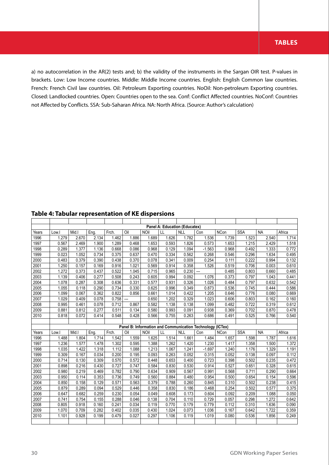a) no autocorrelation in the AR(2) tests and; b) the validity of the instruments in the Sargan OIR test. P-values in brackets. Low: Low Income countries. Middle: Middle Income countries. English: English Common law countries. French: French Civil law countries. Oil: Petroleum Exporting countries. NoOil: Non-petroleum Exporting countries. Closed: Landlocked countries. Open: Countries open to the sea. Conf: Conflict Affected countries. NoConf: Countries not Affected by Conflicts. SSA: Sub-Saharan Africa. NA: North Africa. (Source: Author's calculation)

| Table 4: Tabular representation of KE dispersions |  |  |
|---------------------------------------------------|--|--|
|---------------------------------------------------|--|--|

|       |       |       |       |       |       |             | Panel A: Education (Educatex) |            |                                                           |             |            |           |        |
|-------|-------|-------|-------|-------|-------|-------------|-------------------------------|------------|-----------------------------------------------------------|-------------|------------|-----------|--------|
| Years | Low.I | Mid.I | Eng.  | Frch. | Oil   | <b>NOil</b> | $\mathsf{L}\mathsf{L}$        | <b>NLL</b> | Con                                                       | <b>NCon</b> | <b>SSA</b> | <b>NA</b> | Africa |
| 1996  | 1.279 | 2.670 | 2.134 | 1.462 | 1.886 | 1.689       | 1.626                         | 1.782      | 1.536                                                     | 1.739       | 1.523      | 2.540     | 1.714  |
| 1997  | 0.567 | 2.469 | 1.900 | 1.289 | 0.468 | 1.653       | 0.593                         | 1.826      | 0.573                                                     | 1.653       | 1.215      | 2.429     | 1.518  |
| 1998  | 0.289 | 1.377 | 1.136 | 0.668 | 0.086 | 0.968       | 0.129                         | 1.094      | $-1.563$                                                  | 0.968       | 0.492      | 1.333     | 0.772  |
| 1999  | 0.023 | 1.052 | 0.734 | 0.375 | 0.637 | 0.470       | 0.334                         | 0.562      | 0.268                                                     | 0.546       | 0.296      | 1.634     | 0.495  |
| 2000  | 0.483 | 0.379 | 0.390 | 0.438 | 0.370 | 0.078       | 0.341                         | 0.009      | 0.254                                                     | 0.111       | 0.222      | 0.994     | 0.132  |
| 2001  | 1.250 | 0.157 | 0.169 | 0.916 | 1.021 | 0.569       | 0.914                         | 0.358      | 1.526                                                     | 0.519       | 0.706      | 0.003     | 0.610  |
| 2002  | 1.272 | 0.373 | 0.437 | 0.522 | 1.045 | 0.715       | 0.965                         | 0.230      | $\overline{\phantom{a}}$                                  | 0.485       | 0.803      | 0.660     | 0.485  |
| 2003  | 1.139 | 0.406 | 0.277 | 0.508 | 0.243 | 0.605       | 0.994                         | 0.092      | 1.076                                                     | 0.373       | 0.797      | 1.043     | 0.441  |
| 2004  | 1.078 | 0.287 | 0.308 | 0.636 | 0.331 | 0.577       | 0.931                         | 0.326      | 1.026                                                     | 0.484       | 0.797      | 0.632     | 0.542  |
| 2005  | 1.055 | 0.118 | 0.290 | 0.734 | 0.330 | 0.625       | 0.996                         | 0.349      | 0.873                                                     | 0.536       | 0.745      | 0.444     | 0.586  |
| 2006  | 1.099 | 0.067 | 0.362 | 0.822 | 0.856 | 0.661       | 1.014                         | 0.422      | 1.205                                                     | 0.646       | 0.776      | 0.080     | 0.669  |
| 2007  | 1.029 | 0.409 | 0.078 | 0.758 | ---   | 0.650       | 1.202                         | 0.329      | 1.023                                                     | 0.606       | 0.803      | 0.162     | 0.160  |
| 2008  | 0.995 | 0.461 | 0.078 | 0.712 | 0.867 | 0.582       | 1.138                         | 0.138      | 1.099                                                     | 0.482       | 0.722      | 0.319     | 0.612  |
| 2009  | 0.881 | 0.812 | 0.277 | 0.511 | 0.134 | 0.580       | 0.993                         | 0.091      | 0.938                                                     | 0.369       | 0.702      | 0.870     | 0.478  |
| 2010  | 0.818 | 0.072 | 0.414 | 0.548 | 0.428 | 0.566       | 0.755                         | 0.263      | 0.686                                                     | 0.491       | 0.525      | 0.766     | 0.540  |
|       |       |       |       |       |       |             |                               |            |                                                           |             |            |           |        |
|       |       |       |       |       |       |             |                               |            |                                                           |             |            |           |        |
|       |       |       |       |       |       |             |                               |            | Panel B: Information and Communication Technology (ICTex) |             |            |           |        |
| Years | Low.I | Mid.  | Eng.  | Frch. | Oil   | <b>NOil</b> | LL                            | <b>NLL</b> | Con                                                       | <b>NCon</b> | <b>SSA</b> | <b>NA</b> | Africa |
| 1996  | 1.488 | 1.804 | 1.714 | 1.542 | 1.559 | 1.625       | 1.514                         | 1.661      | 1.484                                                     | 1.657       | 1.598      | 1.787     | 1.616  |
| 1997  | 1.236 | 1.577 | 1.478 | 1.302 | 0.595 | 1.388       | 1.262                         | 1.420      | 1.230                                                     | 1.417       | 1.358      | 1.500     | 1.372  |
| 1998  | 1.035 | 1.422 | 1.318 | 1.112 | 1.088 | 1.213       | 1.067                         | 1.241      | $-1.697$                                                  | 1.240       | 1.176      | 1.329     | 1.191  |
| 1999  | 0.309 | 0.167 | 0.034 | 0.200 | 0.195 | 0.093       | 0.263                         | 0.052      | 0.315                                                     | 0.052       | 0.138      | 0.097     | 0.112  |
| 2000  | 0.714 | 0.130 | 0.309 | 0.570 | 0.572 | 0.448       | 0.653                         | 0.400      | 0.723                                                     | 0.398       | 0.502      | 0.235     | 0.472  |
| 2001  | 0.898 | 0.216 | 0.430 | 0.727 | 0.747 | 0.584       | 0.830                         | 0.530      | 0.914                                                     | 0.527       | 0.651      | 0.328     | 0.615  |
| 2002  | 0.980 | 0.219 | 0.469 | 0.782 | 0.790 | 0.634       | 0.909                         | 0.567      | 0.991                                                     | 0.568       | 0.711      | 0.290     | 0.664  |
| 2003  | 0.950 | 0.114 | 0.353 | 0.736 | 0.749 | 0.560       | 0.884                         | 0.480      | 0.954                                                     | 0.500       | 0.654      | 0.154     | 0.596  |
| 2004  | 0.850 | 0.158 | 0.129 | 0.571 | 0.563 | 0.379       | 0.788                         | 0.260      | 0.845                                                     | 0.310       | 0.502      | 0.238     | 0.415  |
| 2005  | 0.879 | 0.289 | 0.094 | 0.529 | 0.446 | 0.358       | 0.830                         | 0.186      | 0.468                                                     | 0.254       | 0.502      | 0.577     | 0.375  |
| 2006  | 0.647 | 0.682 | 0.259 | 0.230 | 0.054 | 0.049       | 0.608                         | 0.173      | 0.604                                                     | 0.092       | 0.209      | 1.088     | 0.050  |
| 2007  | 0.741 | 0.754 | 0.155 | 0.288 | 0.046 | 0.138       | 0.704                         | 0.110      | 0.729                                                     | 0.057       | 0.298      | 1.272     | 0.642  |
| 2008  | 0.805 | 0.918 | 0.160 | 0.241 | 0.034 | 0.119       | 0.770                         | 0.179      | 0.779                                                     | 0.112       | 0.310      | 1.636     | 0.090  |
| 2009  | 1.070 | 0.709 | 0.282 | 0.402 | 0.035 | 0.430       | 1.024                         | 0.073      | 1.036                                                     | 0.167       | 0.642      | 1.722     | 0.359  |
| 2010  | 1.101 | 0.928 | 0.199 | 0.479 | 0.027 | 0.297       | 1.106                         | 0.119      | 1.019                                                     | 0.080       | 0.536      | 1.856     | 0.249  |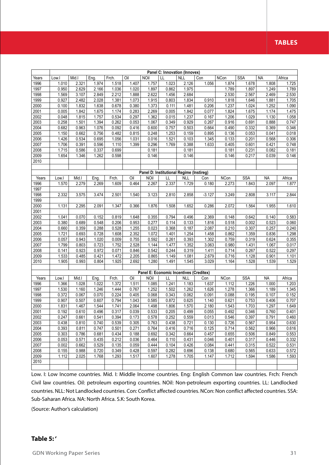## **TABLES**

|              |                |                |                |                |                |                                          | Panel C: Innovation (Innovex) |                |                |                |                     |                |                |
|--------------|----------------|----------------|----------------|----------------|----------------|------------------------------------------|-------------------------------|----------------|----------------|----------------|---------------------|----------------|----------------|
| Years        | Low.           | Mid.l          | Eng.           | Frch.          | Oil            | <b>NOil</b>                              | LL                            | <b>NLL</b>     | Con            | <b>NCon</b>    | <b>SSA</b>          | <b>NA</b>      | Africa         |
| 1996         | 1.010          | 2.321          | 1.974          | 1.518          | 1.407          | 1.757                                    | 1.023                         | 2.126          | 1.056          | 1.874          | 1.678               | 1.808          | 1.725          |
| 1997         | 0.950          | 2.629          | 2.166          | 1.036          | 1.020          | 1.897                                    | 0.862                         | 1.975          |                | 1.789          | 1.897               | 1.249          | 1.789          |
| 1998         | 1.569          | 3.107          | 2.849          | 2.212          | 1.888          | 2.622                                    | 1.456                         | 2.684          |                | 2.530          | 2.567               | 2.469          | 2.530          |
| 1999         | 0.927          | 2.482          | 2.028          | 1.381          | 1.073          | 1.915                                    | 0.803                         | 1.834          | 0.910          | 1.818          | 1.646               | 1.881          | 1.705          |
| 2000         | 0.100          | 1.832          | 1.638          | 0.678          | 0.380          | 1.373                                    | 0.111                         | 1.481          | 0.206          | 1.237          | 1.024               | 1.252          | 1.090          |
| 2001         | 0.005          | 1.842          | 1.675          | 1.174          | 0.283          | 2.269                                    | 0.005                         | 1.842          | 0.077          | 1.824          | 1.675               | 1.174          | 1.475          |
| 2002         | 0.048          | 1.815          | 1.757          | 0.534          | 0.297          | 1.362                                    | 0.015                         | 1.237          | 0.167          | 1.206          | 1.029               | 1.130          | 1.058          |
| 2003         | 0.258          | 1.501          | 1.394          | 0.262          | 0.053          | 1.067                                    | 0.349                         | 0.929          | 0.267          | 0.916          | 0.691               | 0.888          | 0.747          |
| 2004         | 0.682          | 0.963          | 1.076          | 0.092          | 0.416          | 0.600                                    | 0.757                         | 0.503          | 0.664          | 0.490          | 0.332               | 0.369          | 0.346          |
| 2005         | 1.150          | 0.662          | 0.756          | 0.482          | 0.815          | 0.248                                    | 1.253                         | 0.159          | 0.895          | 0.136          | 0.053               | 0.041          | 0.018          |
| 2006         | 1.426          | 0.534          | 0.695          | 1.056          | 1.031          | 0.016                                    | 1.521                         | 0.103          | 1.345          | 0.133          | 0.201               | 0.568          | 0.306          |
| 2007         | 1.706          | 0.391          | 0.596          | 1.110          | 1.399          | 0.296                                    | 1.769                         | 0.388          | 1.633          | 0.405          | 0.601               | 0.421          | 0.748          |
| 2008         | 1.715          | 0.586          | 0.337          | 0.699          |                | 0.181                                    |                               | 0.181          |                | 0.181          | 0.231               | 0.082          | 0.181          |
| 2009         | 1.654          | 1.346          | 1.262          | 0.598          |                | 0.146                                    |                               | 0.146          |                | 0.146          | 0.217               | 0.039          | 0.146          |
| 2010         |                |                |                |                |                |                                          |                               |                |                |                |                     |                |                |
|              |                |                |                |                |                | Panel D: Institutional Regime (Instireg) |                               |                |                |                |                     |                |                |
| Years        | Low.           | Mid.I          | Eng.           | Frch.          | Oil            | <b>NOil</b>                              | LL                            | <b>NLL</b>     | Con            | <b>NCon</b>    | <b>SSA</b>          | <b>NA</b>      | Africa         |
| 1996         | 1.570          | 2.279          | 2.269          | 1.609          | 0.464          | 2.267                                    | 2.337                         | 1.729          | 0.180          | 2.273          | 1.843               | 2.097          | 1.877          |
| 1997         |                |                |                |                |                |                                          |                               |                |                |                |                     |                |                |
| 1998         | 2.332          | 3.575          | 3.474          | 2.501          | 1.540          | 3.123                                    | 2.810                         | 2.858          | $-3.127$       | 3.249          | 2.808               | 3.117          | 2.844          |
| 1999         |                |                |                |                |                |                                          |                               |                |                |                |                     |                |                |
| 2000         | 1.131          | 2.295          | 2.091          | 1.347          | 0.366          | 1.876                                    | 1.508                         | 1.652          | 0.286          | 2.072          | 1.564               | 1.955          | 1.610          |
| 2001         |                |                |                |                |                |                                          |                               |                |                |                |                     |                |                |
| 2002         | 1.041          | 0.070          | 0.152          | 0.819          | 1.648          | 0.355                                    | 0.794                         | 0.496          | 2.369          | 0.148          | 0.642               | 0.140          | 0.583          |
| 2003         | 0.380          | 0.689          | 0.548          | 0.206          | 0.953          | 0.277                                    | 0.114                         | 0.133          | 1.816          | 0.518          | 0.002               | 0.523          | 0.060          |
| 2004         | 0.660          | 0.359          | 0.288          | 0.528          | 1.255          | 0.023                                    | 0.368                         | 0.187          | 2.087          | 0.210          | 0.307               | 0.257          | 0.240          |
| 2005         | 1.721          | 0.693          | 0.728          | 1.608          | 2.352          | 1.072                                    | 1.401                         | 1.254          | 1.458          | 0.862          | 1.359               | 0.836          | 1.298          |
| 2006         | 0.057          | 0.943          | 1.020          | 0.009          | 0.755          | 0.592                                    | 0.261                         | 0.393          | 1.302          | 0.759          | 0.319               | 0.624          | 0.355          |
| 2007         | 1.799          | 0.803          | 0.723          | 1.752          | 2.528          | 1.144                                    | 1.477                         | 1.352          | 3.063          | 0.980          | 1.431               | 1.067          | 0.017          |
| 2008         | 0.141          | 0.923          | 0.972          | 0.071          | 0.846          | 0.542                                    | 0.244                         | 0.319          | 1.411          | 0.714          | 0.267               | 0.522          | 0.297          |
| 2009         | 1.533          | 0.485          | 0.421          | 1.472          | 2.205          | 0.865                                    | 1.149                         | 1.081          | 2.679          | 0.716          | 1.128               | 0.901          | 1.101          |
| 2010         | 1.905          | 0.993          | 0.804          | 1.925          | 2.692          | 1.280                                    | 1.491                         | 1.545          | 3.029          | 1.164          | 1.528               | 1.539          | 1.529          |
|              |                |                |                |                |                |                                          |                               |                |                |                |                     |                |                |
|              |                |                |                |                |                | Panel E: Economic Incentives (Creditex)  |                               |                |                |                |                     |                |                |
| Years        | Low.I          | Mid.I          | Eng.           | Frch.          | Oil            | <b>NOil</b>                              | LL                            | <b>NLL</b>     | Con            | <b>NCon</b>    | <b>SSA</b><br>1.226 | <b>NA</b>      | Africa         |
| 1996<br>1997 | 1.366<br>1.530 | 1.028<br>1.160 | 1.022<br>1.246 | 1.372<br>1.444 | 1.511<br>0.767 | 1.085<br>1.252                           | 1.241<br>1.502                | 1.183<br>1.262 | 1.637<br>1.626 | 1.112<br>1.278 | 1.366               | 1.000<br>1.189 | 1.203<br>1.345 |
| 1998         | 0.372          | 0.067          | 0.070          | 0.224          | 0.405          | 0.068                                    | 0.343                         | 0.062          | 0.091          | 0.088          | 0.195               | 0.107          | 0.152          |
| 1999         | 0.907          | 0.507          | 0.607          | 0.794          | 1.043          | 0.585                                    | 0.872                         | 0.625          | 1.140          | 0.621          | 0.753               | 0.406          | 0.707          |
| 2000         | 1.831          | 1.467          | 1.544          | 1.741          | 2.064          | 1.498                                    | 1.806                         | 1.570          | 2.180          | 1.543          | 1.703               | 1.297          | 1.649          |
| 2001         | 0.192          | 0.610          | 0.496          | 0.317          | 0.039          | 0.533                                    | 0.205                         | 0.499          | 0.055          | 0.492          | 0.346               | 0.760          | 0.401          |
| 2002         | 0.247          | 0.661          | 0.541          | 0.394          | 0.173          | 0.578                                    | 0.252                         | 0.559          | 0.013          | 0.546          | 0.397               | 0.791          | 0.460          |
| 2003         | 0.438          | 0.810          | 0.740          | 0.539          | 0.305          | 0.763                                    | 0.438                         | 0.721          | 0.130          | 0.726          | 0.567               | 0.954          | 0.630          |
| 2004         | 0.393          | 0.811          | 0.747          | 0.501          | 0.271          | 0.764                                    | 0.416                         | 0.716          | 0.125          | 0.714          | 0.562               | 0.966          | 0.616          |
| 2005         | 0.303          | 0.786          | 0.681          | 0.434          | 0.188          | 0.692                                    | 0.342                         | 0.664          | 0.457          | 0.655          | 0.506               | 0.849          | 0.553          |
| 2006         | 0.053          | 0.571          | 0.435          | 0.212          | 0.036          | 0.464                                    | 0.110                         | 0.431          | 0.046          | 0.401          | 0.317               | 0.446          | 0.332          |
| 2007         | 0.002          | 0.662          | 0.529          | 0.135          | 0.059          | 0.444                                    | 0.104                         | 0.426          | 0.084          | 0.441          | 0.315               | 0.522          | 0.531          |
| 2008         | 0.155          | 0.988          | 0.720          | 0.349          | 0.428          | 0.597                                    | 0.282                         | 0.696          | 0.138          | 0.680          | 0.565               | 0.633          | 0.572          |
| 2009         | 1.112          | 2.025          | 1.768          | 1.293          | 1.517          | 1.607                                    | 1.278                         | 1.705          | 1.147          | 1.712          | 1.594               | 1.586          | 1.593          |
| 2010         |                |                |                |                |                |                                          |                               |                |                |                |                     |                |                |
|              |                |                |                |                |                |                                          |                               |                |                |                |                     |                |                |

Low. I: Low Income countries. Mid. I: Middle Income countries. Eng: English Common law countries. Frch: French Civil law countries. Oil: petroleum exporting countries. NOil: Non-petroleum exporting countries. LL: Landlocked countries. NLL: Not Landlocked countries. Con: Conflict affected countries. NCon: Non conflict affected countries. SSA: Sub-Saharan Africa. NA: North Africa. S.K: South Korea.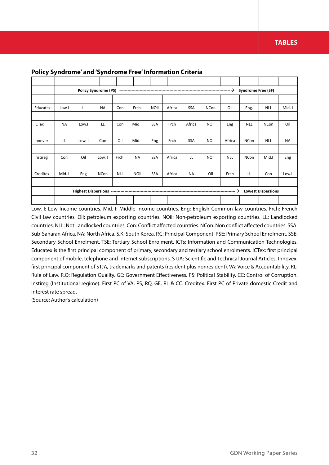|              |           |        | <b>Policy Syndrome (PS)</b> |            |             |             |        |            |             |            | <b>Syndrome Free (SF)</b> |                           |           |
|--------------|-----------|--------|-----------------------------|------------|-------------|-------------|--------|------------|-------------|------------|---------------------------|---------------------------|-----------|
|              |           |        |                             |            |             |             |        |            |             |            |                           |                           |           |
| Educatex     | Low.I     | LL     | <b>NA</b>                   | Con        | Frch.       | <b>NOil</b> | Africa | <b>SSA</b> | <b>NCon</b> | Oil        | Eng.                      | <b>NLL</b>                | Mid. I    |
|              |           |        |                             |            |             |             |        |            |             |            |                           |                           |           |
| <b>ICTex</b> | <b>NA</b> | Low.I  | LL                          | Con        | Mid. I      | <b>SSA</b>  | Frch   | Africa     | <b>NOil</b> | Eng        | <b>NLL</b>                | <b>NCon</b>               | Oil       |
|              |           |        |                             |            |             |             |        |            |             |            |                           |                           |           |
| Innovex      | LL        | Low. I | Con                         | Oil        | Mid. I      | Eng         | Frch   | SSA        | <b>NOil</b> | Africa     | <b>NCon</b>               | <b>NLL</b>                | <b>NA</b> |
|              |           |        |                             |            |             |             |        |            |             |            |                           |                           |           |
| Instireg     | Con       | Oil    | Low. I                      | Frch.      | <b>NA</b>   | <b>SSA</b>  | Africa | LL         | <b>NOil</b> | <b>NLL</b> | <b>NCon</b>               | Mid.I                     | Eng       |
|              |           |        |                             |            |             |             |        |            |             |            |                           |                           |           |
| Creditex     | Mid. I    | Eng    | <b>NCon</b>                 | <b>NLL</b> | <b>NOil</b> | <b>SSA</b>  | Africa | <b>NA</b>  | Oil         | Frch       | LL                        | Con                       | Low.I     |
|              |           |        |                             |            |             |             |        |            |             |            |                           |                           |           |
|              |           |        |                             |            |             |             |        |            |             | —→         |                           | <b>Lowest Dispersions</b> |           |
|              |           |        |                             |            |             |             |        |            |             |            |                           |                           |           |

#### **Policy Syndrome' and 'Syndrome Free' Information Criteria**

Low. I: Low Income countries. Mid. I: Middle Income countries. Eng: English Common law countries. Frch: French Civil law countries. Oil: petroleum exporting countries. NOil: Non-petroleum exporting countries. LL: Landlocked countries. NLL: Not Landlocked countries. Con: Conflict affected countries. NCon: Non conflict affected countries. SSA: Sub-Saharan Africa. NA: North Africa. S.K: South Korea. P.C: Principal Component. PSE: Primary School Enrolment. SSE: Secondary School Enrolment. TSE: Tertiary School Enrolment. ICTs: Information and Communication Technologies. Educatex is the first principal component of primary, secondary and tertiary school enrolments. ICTex: first principal component of mobile, telephone and internet subscriptions. STJA: Scientific and Technical Journal Articles. Innovex: first principal component of STJA, trademarks and patents (resident plus nonresident). VA: Voice & Accountability. RL: Rule of Law. R.Q: Regulation Quality. GE: Government Effectiveness. PS: Political Stability. CC: Control of Corruption. Instireg (Institutional regime): First PC of VA, PS, RQ, GE, RL & CC. Creditex: First PC of Private domestic Credit and Interest rate spread.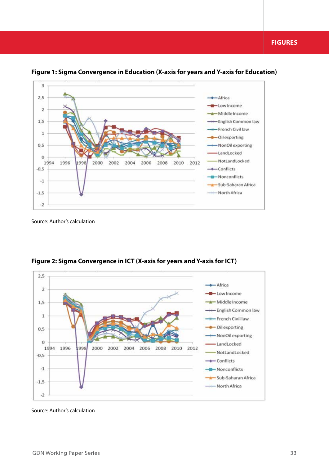

**Figure 1: Sigma Convergence in Education (X-axis for years and Y-axis for Education)**



**Figure 2: Sigma Convergence in ICT (X-axis for years and Y-axis for ICT)**

Source: Author's calculation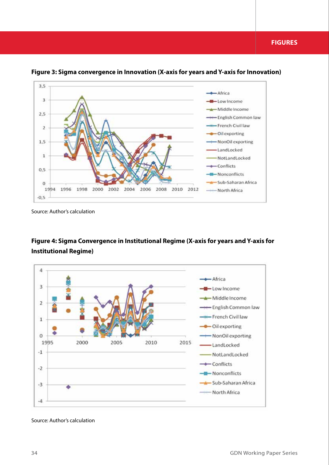

**Figure 3: Sigma convergence in Innovation (X-axis for years and Y-axis for Innovation)**

Source: Author's calculation

## **Figure 4: Sigma Convergence in Institutional Regime (X-axis for years and Y-axis for Institutional Regime)**

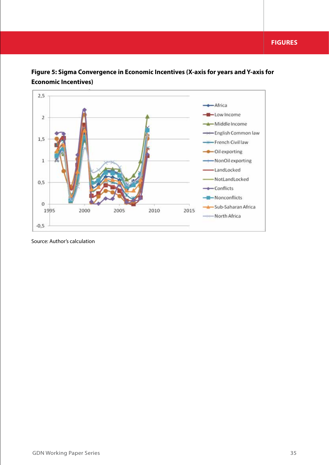

**Figure 5: Sigma Convergence in Economic Incentives (X-axis for years and Y-axis for Economic Incentives)**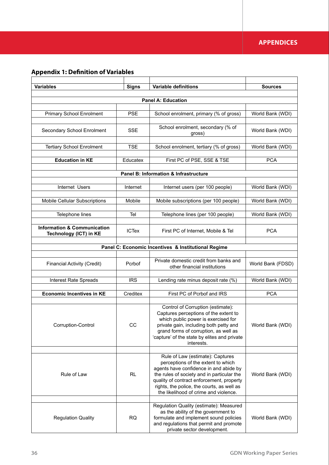## **APPENDICES**

# **Appendix 1: Definition of Variables**

| <b>Variables</b>                                                 | <b>Signs</b> | <b>Variable definitions</b>                                                                                                                                                                                                                                                                        | <b>Sources</b>    |
|------------------------------------------------------------------|--------------|----------------------------------------------------------------------------------------------------------------------------------------------------------------------------------------------------------------------------------------------------------------------------------------------------|-------------------|
|                                                                  |              | <b>Panel A: Education</b>                                                                                                                                                                                                                                                                          |                   |
|                                                                  |              |                                                                                                                                                                                                                                                                                                    |                   |
| <b>Primary School Enrolment</b>                                  | <b>PSE</b>   | School enrolment, primary (% of gross)                                                                                                                                                                                                                                                             | World Bank (WDI)  |
| Secondary School Enrolment                                       | <b>SSE</b>   | School enrolment, secondary (% of<br>gross)                                                                                                                                                                                                                                                        | World Bank (WDI)  |
| <b>Tertiary School Enrolment</b>                                 | <b>TSE</b>   | School enrolment, tertiary (% of gross)                                                                                                                                                                                                                                                            | World Bank (WDI)  |
| <b>Education in KE</b>                                           | Educatex     | First PC of PSE, SSE & TSE                                                                                                                                                                                                                                                                         | <b>PCA</b>        |
|                                                                  |              | Panel B: Information & Infrastructure                                                                                                                                                                                                                                                              |                   |
|                                                                  |              |                                                                                                                                                                                                                                                                                                    |                   |
| Internet Users                                                   | Internet     | Internet users (per 100 people)                                                                                                                                                                                                                                                                    | World Bank (WDI)  |
| <b>Mobile Cellular Subscriptions</b>                             | Mobile       | Mobile subscriptions (per 100 people)                                                                                                                                                                                                                                                              | World Bank (WDI)  |
| Telephone lines                                                  | Tel          | Telephone lines (per 100 people)                                                                                                                                                                                                                                                                   | World Bank (WDI)  |
| <b>Information &amp; Communication</b><br>Technology (ICT) in KE | <b>ICTex</b> | First PC of Internet, Mobile & Tel                                                                                                                                                                                                                                                                 | <b>PCA</b>        |
|                                                                  |              | Panel C: Economic Incentives & Institutional Regime                                                                                                                                                                                                                                                |                   |
|                                                                  |              |                                                                                                                                                                                                                                                                                                    |                   |
| <b>Financial Activity (Credit)</b>                               | Pcrbof       | Private domestic credit from banks and<br>other financial institutions                                                                                                                                                                                                                             | World Bank (FDSD) |
| Interest Rate Spreads                                            | <b>IRS</b>   | Lending rate minus deposit rate (%)                                                                                                                                                                                                                                                                | World Bank (WDI)  |
| <b>Economic Incentives in KE</b>                                 | Creditex     | First PC of Pcrbof and IRS                                                                                                                                                                                                                                                                         | <b>PCA</b>        |
|                                                                  |              |                                                                                                                                                                                                                                                                                                    |                   |
| Corruption-Control                                               | CC           | Control of Corruption (estimate):<br>Captures perceptions of the extent to<br>which public power is exercised for<br>private gain, including both petty and<br>grand forms of corruption, as well as<br>'capture' of the state by elites and private<br>interests.                                 | World Bank (WDI)  |
|                                                                  |              |                                                                                                                                                                                                                                                                                                    |                   |
| Rule of Law                                                      | RL           | Rule of Law (estimate): Captures<br>perceptions of the extent to which<br>agents have confidence in and abide by<br>the rules of society and in particular the<br>quality of contract enforcement, property<br>rights, the police, the courts, as well as<br>the likelihood of crime and violence. | World Bank (WDI)  |
|                                                                  |              | Regulation Quality (estimate): Measured                                                                                                                                                                                                                                                            |                   |
| <b>Regulation Quality</b>                                        | <b>RQ</b>    | as the ability of the government to<br>formulate and implement sound policies<br>and regulations that permit and promote<br>private sector development.                                                                                                                                            | World Bank (WDI)  |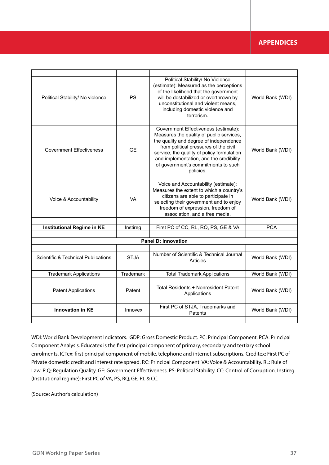## **APPENDICES**

| Political Stability/ No violence               | <b>PS</b>   | Political Stability/ No Violence<br>(estimate): Measured as the perceptions<br>of the likelihood that the government<br>will be destabilized or overthrown by<br>unconstitutional and violent means,<br>including domestic violence and<br>terrorism.                                                            | World Bank (WDI) |
|------------------------------------------------|-------------|------------------------------------------------------------------------------------------------------------------------------------------------------------------------------------------------------------------------------------------------------------------------------------------------------------------|------------------|
|                                                |             |                                                                                                                                                                                                                                                                                                                  |                  |
| <b>Government Effectiveness</b>                | <b>GE</b>   | Government Effectiveness (estimate):<br>Measures the quality of public services,<br>the quality and degree of independence<br>from political pressures of the civil<br>service, the quality of policy formulation<br>and implementation, and the credibility<br>of government's commitments to such<br>policies. | World Bank (WDI) |
|                                                |             |                                                                                                                                                                                                                                                                                                                  |                  |
| Voice & Accountability                         | <b>VA</b>   | Voice and Accountability (estimate):<br>Measures the extent to which a country's<br>citizens are able to participate in<br>selecting their government and to enjoy<br>freedom of expression, freedom of<br>association, and a free media.                                                                        | World Bank (WDI) |
|                                                |             |                                                                                                                                                                                                                                                                                                                  |                  |
| Institutional Regime in KE                     | Instireg    | First PC of CC, RL, RQ, PS, GE & VA                                                                                                                                                                                                                                                                              | <b>PCA</b>       |
|                                                |             | <b>Panel D: Innovation</b>                                                                                                                                                                                                                                                                                       |                  |
|                                                |             |                                                                                                                                                                                                                                                                                                                  |                  |
| <b>Scientific &amp; Technical Publications</b> | <b>STJA</b> | Number of Scientific & Technical Journal<br>Articles                                                                                                                                                                                                                                                             | World Bank (WDI) |
|                                                |             |                                                                                                                                                                                                                                                                                                                  |                  |
| <b>Trademark Applications</b>                  | Trademark   | <b>Total Trademark Applications</b>                                                                                                                                                                                                                                                                              | World Bank (WDI) |
| <b>Patent Applications</b>                     | Patent      | Total Residents + Nonresident Patent<br>Applications                                                                                                                                                                                                                                                             | World Bank (WDI) |
| <b>Innovation in KE</b>                        | Innovex     | First PC of STJA, Trademarks and<br>Patents                                                                                                                                                                                                                                                                      | World Bank (WDI) |
|                                                |             |                                                                                                                                                                                                                                                                                                                  |                  |

WDI: World Bank Development Indicators. GDP: Gross Domestic Product. PC: Principal Component. PCA: Principal Component Analysis. Educatex is the first principal component of primary, secondary and tertiary school enrolments. ICTex: first principal component of mobile, telephone and internet subscriptions. Creditex: First PC of Private domestic credit and interest rate spread. P.C: Principal Component. VA: Voice & Accountability. RL: Rule of Law. R.Q: Regulation Quality. GE: Government Effectiveness. PS: Political Stability. CC: Control of Corruption. Instireg (Institutional regime): First PC of VA, PS, RQ, GE, RL & CC.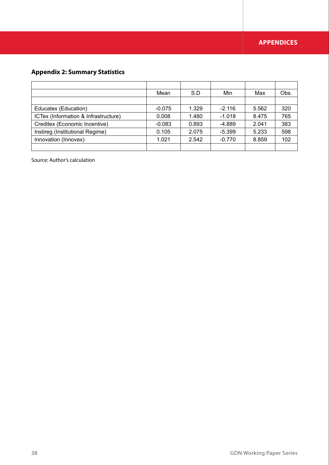# **Appendix 2: Summary Statistics**

|                                      | Mean     | S.D   | Min      | Max   | Obs. |
|--------------------------------------|----------|-------|----------|-------|------|
|                                      |          |       |          |       |      |
| Educatex (Education)                 | $-0.075$ | 1.329 | $-2.116$ | 5.562 | 320  |
| ICTex (Information & Infrastructure) | 0.008    | 1.480 | $-1.018$ | 8.475 | 765  |
| Creditex (Economic Incentive)        | $-0.083$ | 0.893 | -4.889   | 2.041 | 383  |
| Instireg (Institutional Regime)      | 0.105    | 2.075 | $-5.399$ | 5.233 | 598  |
| Innovation (Innovex)                 | 1.021    | 2.542 | $-0.770$ | 8.859 | 102  |
|                                      |          |       |          |       |      |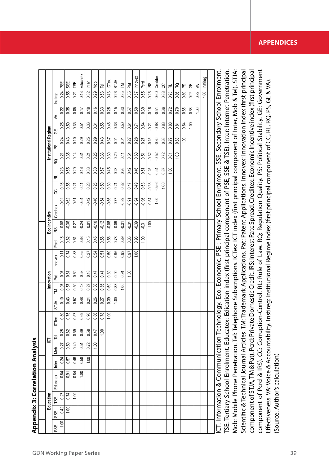| 0.74<br>1.00<br>0.27<br>Education<br>TSE<br>0.42<br>1.00<br>SSE<br>$\frac{0}{1}$<br>PSE                                                                                                                                                                                       | 0.84<br>1.00<br>0.64<br>0.91<br>Educatex | 0.46<br>0.24<br>0.57<br>Inter | Mob  | <u>다</u> |              |               | Innovation |      |         |      | Eco Incentive   |                                                                                                 |         |         |         | Institutional Regime |         |         |                    |                      |
|-------------------------------------------------------------------------------------------------------------------------------------------------------------------------------------------------------------------------------------------------------------------------------|------------------------------------------|-------------------------------|------|----------|--------------|---------------|------------|------|---------|------|-----------------|-------------------------------------------------------------------------------------------------|---------|---------|---------|----------------------|---------|---------|--------------------|----------------------|
|                                                                                                                                                                                                                                                                               |                                          |                               |      | 戸        | <b>ICTex</b> | <b>STJA</b>   | $\geq$     | Pat  | Innovex | pcrd | IR <sub>S</sub> | Creditex                                                                                        | ႘       | 군       | RQ      | δg                   | ₩       | ≸       | Instireg           |                      |
|                                                                                                                                                                                                                                                                               |                                          |                               | 0.27 | 0.25     | 0.30         | $\frac{0}{2}$ | 0.07       | 0.07 | 0.11    | 0.16 | 0.08            | $-0.01$                                                                                         | 0.16    | 0.23    | 0.21    | 0.24                 | 0.25    | 0.22    | 0.24               | PSE                  |
|                                                                                                                                                                                                                                                                               |                                          |                               | 0.59 | 0.82     | 0.75         | 0.43          | 0.57       | 0.61 | 0.74    | 0.62 | $-0.36$         | $-0.62$                                                                                         | 0.55    | 0.55    | 0.35    | 0.43                 | 0.59    | 0.35    | 0.55               | SSE                  |
|                                                                                                                                                                                                                                                                               |                                          |                               | 0.40 | 0.59     | 0.57         | 0.57          | 0.50       | 0.69 | 0.83    | 0.61 | $-0.27$         | $-0.51$                                                                                         | 0.21    | 0.29    | 0.14    | 0.10                 | 0.35    | $-0.05$ | 0.21               | TSE                  |
|                                                                                                                                                                                                                                                                               |                                          | 0.58                          | 0.51 | 0.69     | 0.69         | 0.48          | 0.43       | 0.53 | 0.65    | 0.63 | $-0.24$         | $-0.54$                                                                                         | 0.41    | 0.46    | 0.31    | 0.29                 | 0.51    | 0.17    |                    | 0.43 Educatex        |
|                                                                                                                                                                                                                                                                               |                                          | 1.00                          | 0.72 | 0.58     | 0.90         | 0.24          | 0.27       | 0.18 | 0.27    | 0.45 | 0.01            | $-0.42$                                                                                         | 0.28    | 0.33    | 0.21    | 0.25                 | 0.36    | 0.18    |                    | $0.32$ Inter         |
|                                                                                                                                                                                                                                                                               |                                          |                               | 1,00 | 0.47     | 0.86         | 0.26          | 0.38       | 0.47 | 0.54    | 0.45 | $-0.10$         | $-0.46$                                                                                         | 0.25    | 0.30    | 0.25    | 0.29                 | 0.31    | 0.16    | $\frac{1}{28}$     | Mob                  |
|                                                                                                                                                                                                                                                                               |                                          |                               |      | 1.00     | 0.78         | 0.27          | 0.36       | 0.41 | 0.51    | 0.56 | $-0.12$         | $-0.54$                                                                                         | 0.50    | 0.57    | 0.33    | 0.43                 | 0.56    | 0.33    | 0.53               |                      |
|                                                                                                                                                                                                                                                                               |                                          |                               |      |          | 1.00         | 0.39          | 0.50       | 0.39 | 0.50    | 0.56 | $-0.08$         | $-0.55$                                                                                         | 0.39    | 0.45    | 0.30    | 0.37                 | 0.46    | 0.25    | 0.43               | ICTex                |
|                                                                                                                                                                                                                                                                               |                                          |                               |      |          |              | 1.00          | 0.83       | 0.90 | 0.96    | 0.78 | $-0.09$         | $-0.77$                                                                                         | 0.21    | 0.23    | 0.29    | 0.01                 | 0.36    | 0.15    | 0.26               | <b>STJA</b>          |
|                                                                                                                                                                                                                                                                               |                                          |                               |      |          |              |               | 1,00       | 0.91 | 0.93    | 0.89 | $-0.31$         | $-0.89$                                                                                         | 0.32    | 0.26    | 0.41    | 0.01                 | 0.50    | 0.33    | 0.35               | M                    |
|                                                                                                                                                                                                                                                                               |                                          |                               |      |          |              |               |            | 100  | 0.97    | 0.86 | $-0.34$         | $-0.91$                                                                                         | 0.47    | 0.42    | 0.54    | 0.27                 | 0.61    | 0.57    | 0.55               | Pat                  |
|                                                                                                                                                                                                                                                                               |                                          |                               |      |          |              |               |            |      | 1.00    | 0.93 | $-0.39$         | $-0.94$                                                                                         | 0.49    | 0.46    | 0.60    | 0.28                 | 0.71    | 0.50    | 0.57               | Innovex              |
|                                                                                                                                                                                                                                                                               |                                          |                               |      |          |              |               |            |      |         | 1.00 | $-0.31$         | $-0.96$                                                                                         | 0.53    | 0.51    | $0.51$  | 0.27                 | 0.64    | 0.39    | 0.55               | Pord                 |
|                                                                                                                                                                                                                                                                               |                                          |                               |      |          |              |               |            |      |         |      | 1.00            | 0.54                                                                                            | $-0.23$ | $-0.25$ | $-0.32$ | $-0.15$              | $-0.21$ | $-0.16$ | $-0.26$ IRS        |                      |
|                                                                                                                                                                                                                                                                               |                                          |                               |      |          |              |               |            |      |         |      |                 | 1.00                                                                                            | $-0.56$ | $-0.54$ | $-0.52$ | $-0.30$              | $-0.68$ | $-0.51$ |                    | $-0.60$ $[$ Creditex |
|                                                                                                                                                                                                                                                                               |                                          |                               |      |          |              |               |            |      |         |      |                 |                                                                                                 | 1.00    | 0.87    | 0.72    | 0.68                 | 0.83    | 0.66    | 0.88 CC            |                      |
|                                                                                                                                                                                                                                                                               |                                          |                               |      |          |              |               |            |      |         |      |                 |                                                                                                 |         | 1.00    | 0.87    | 0.79                 | 0.88    | 0.72    | $\frac{1}{1}$ 56.0 | 굱                    |
|                                                                                                                                                                                                                                                                               |                                          |                               |      |          |              |               |            |      |         |      |                 |                                                                                                 |         |         | 1.00    | 0.63                 | 0.81    | 0.70    | 0.86               | R                    |
|                                                                                                                                                                                                                                                                               |                                          |                               |      |          |              |               |            |      |         |      |                 |                                                                                                 |         |         |         | 1.00                 | 0.64    | 0.65    | 0.80               | တ္                   |
|                                                                                                                                                                                                                                                                               |                                          |                               |      |          |              |               |            |      |         |      |                 |                                                                                                 |         |         |         |                      | 1.00    | 0.68    | 0.92               | ₩                    |
|                                                                                                                                                                                                                                                                               |                                          |                               |      |          |              |               |            |      |         |      |                 |                                                                                                 |         |         |         |                      |         | 1.00    | 0.82               | ≶                    |
|                                                                                                                                                                                                                                                                               |                                          |                               |      |          |              |               |            |      |         |      |                 |                                                                                                 |         |         |         |                      |         |         | 00.1               | Instireg             |
| ICT: Information & Communication Technology. Eco: Economic. PSE : Primary School Enrolment. SSE: Secondary School Enrolment.                                                                                                                                                  |                                          |                               |      |          |              |               |            |      |         |      |                 |                                                                                                 |         |         |         |                      |         |         |                    |                      |
| TSE: Tertiary School Enrolment. Educatex:                                                                                                                                                                                                                                     |                                          |                               |      |          |              |               |            |      |         |      |                 | Edication index (first principal component of PSE, SSE & TSE). Inter: Internet Penetration.     |         |         |         |                      |         |         |                    |                      |
| Mob: Mobile Phone Penetration. Tel: Telephone Subscriptions. ICTex: ICT index (first principal component of Inter, Mob & Tel). STJA:                                                                                                                                          |                                          |                               |      |          |              |               |            |      |         |      |                 |                                                                                                 |         |         |         |                      |         |         |                    |                      |
| Scientific & Technical Journal Articles. TM:                                                                                                                                                                                                                                  |                                          |                               |      |          |              |               |            |      |         |      |                 | Frademark Applications. Pat: Patent Applications. Innovex: Innovation index (first principal    |         |         |         |                      |         |         |                    |                      |
| component of STJA, TM & Pat). Pcrd: Private                                                                                                                                                                                                                                   |                                          |                               |      |          |              |               |            |      |         |      |                 | Domestic Credit. IRS: Interest Rate Spread. Creditex: Economic Incentive index (first principal |         |         |         |                      |         |         |                    |                      |
| component of Pcrd & IRS). CC: Corruption-Control. RL: Rule of Law. RQ: Regulation Quality. PS: Political Stability. GE: Government<br>Effectiveness. VA: Voice & Accountability. Instireg: Institutional Regime index (first principal component of CC, RL, RQ, PS, GE & VA). |                                          |                               |      |          |              |               |            |      |         |      |                 |                                                                                                 |         |         |         |                      |         |         |                    |                      |
| (Source: Author's calculation)                                                                                                                                                                                                                                                |                                          |                               |      |          |              |               |            |      |         |      |                 |                                                                                                 |         |         |         |                      |         |         |                    |                      |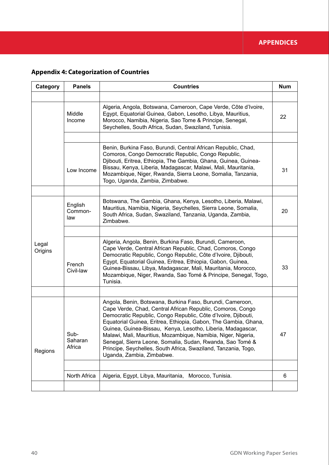# **Appendix 4: Categorization of Countries**

| Category         | <b>Panels</b>             | <b>Countries</b>                                                                                                                                                                                                                                                                                                                                                                                                                                                                                                                                        | <b>Num</b> |
|------------------|---------------------------|---------------------------------------------------------------------------------------------------------------------------------------------------------------------------------------------------------------------------------------------------------------------------------------------------------------------------------------------------------------------------------------------------------------------------------------------------------------------------------------------------------------------------------------------------------|------------|
|                  |                           |                                                                                                                                                                                                                                                                                                                                                                                                                                                                                                                                                         |            |
|                  | Middle<br>Income          | Algeria, Angola, Botswana, Cameroon, Cape Verde, Côte d'Ivoire,<br>Egypt, Equatorial Guinea, Gabon, Lesotho, Libya, Mauritius,<br>Morocco, Namibia, Nigeria, Sao Tome & Principe, Senegal,<br>Seychelles, South Africa, Sudan, Swaziland, Tunisia.                                                                                                                                                                                                                                                                                                      | 22         |
|                  |                           |                                                                                                                                                                                                                                                                                                                                                                                                                                                                                                                                                         |            |
|                  | Low Income                | Benin, Burkina Faso, Burundi, Central African Republic, Chad,<br>Comoros, Congo Democratic Republic, Congo Republic,<br>Djibouti, Eritrea, Ethiopia, The Gambia, Ghana, Guinea, Guinea-<br>Bissau, Kenya, Liberia, Madagascar, Malawi, Mali, Mauritania,<br>Mozambique, Niger, Rwanda, Sierra Leone, Somalia, Tanzania,<br>Togo, Uganda, Zambia, Zimbabwe.                                                                                                                                                                                              | 31         |
|                  |                           |                                                                                                                                                                                                                                                                                                                                                                                                                                                                                                                                                         |            |
| Legal<br>Origins | English<br>Common-<br>law | Botswana, The Gambia, Ghana, Kenya, Lesotho, Liberia, Malawi,<br>Mauritius, Namibia, Nigeria, Seychelles, Sierra Leone, Somalia,<br>South Africa, Sudan, Swaziland, Tanzania, Uganda, Zambia,<br>Zimbabwe.                                                                                                                                                                                                                                                                                                                                              | 20         |
|                  |                           |                                                                                                                                                                                                                                                                                                                                                                                                                                                                                                                                                         |            |
|                  | French<br>Civil-law       | Algeria, Angola, Benin, Burkina Faso, Burundi, Cameroon,<br>Cape Verde, Central African Republic, Chad, Comoros, Congo<br>Democratic Republic, Congo Republic, Côte d'Ivoire, Djibouti,<br>Egypt, Equatorial Guinea, Eritrea, Ethiopia, Gabon, Guinea,<br>Guinea-Bissau, Libya, Madagascar, Mali, Mauritania, Morocco,<br>Mozambique, Niger, Rwanda, Sao Tomé & Principe, Senegal, Togo,<br>Tunisia.                                                                                                                                                    | 33         |
|                  |                           |                                                                                                                                                                                                                                                                                                                                                                                                                                                                                                                                                         |            |
| Regions          | Sub-<br>Saharan<br>Africa | Angola, Benin, Botswana, Burkina Faso, Burundi, Cameroon,<br>Cape Verde, Chad, Central African Republic, Comoros, Congo<br>Democratic Republic, Congo Republic, Côte d'Ivoire, Djibouti,<br>Equatorial Guinea, Eritrea, Ethiopia, Gabon, The Gambia, Ghana,<br>Guinea, Guinea-Bissau, Kenya, Lesotho, Liberia, Madagascar,<br>Malawi, Mali, Mauritius, Mozambique, Namibia, Niger, Nigeria,<br>Senegal, Sierra Leone, Somalia, Sudan, Rwanda, Sao Tomé &<br>Principe, Seychelles, South Africa, Swaziland, Tanzania, Togo,<br>Uganda, Zambia, Zimbabwe. | 47         |
|                  |                           |                                                                                                                                                                                                                                                                                                                                                                                                                                                                                                                                                         |            |
|                  | North Africa              | Algeria, Egypt, Libya, Mauritania, Morocco, Tunisia.                                                                                                                                                                                                                                                                                                                                                                                                                                                                                                    | 6          |
|                  |                           |                                                                                                                                                                                                                                                                                                                                                                                                                                                                                                                                                         |            |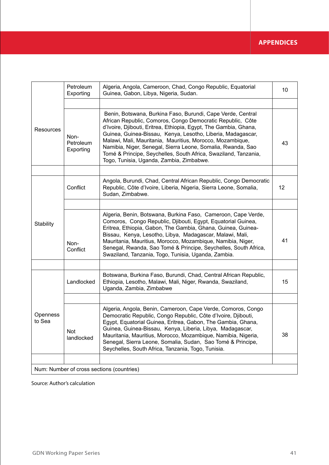|                                           | Petroleum<br>Exporting         | Algeria, Angola, Cameroon, Chad, Congo Republic, Equatorial<br>Guinea, Gabon, Libya, Nigeria, Sudan.                                                                                                                                                                                                                                                                                                                                                                                                    | 10 |  |  |
|-------------------------------------------|--------------------------------|---------------------------------------------------------------------------------------------------------------------------------------------------------------------------------------------------------------------------------------------------------------------------------------------------------------------------------------------------------------------------------------------------------------------------------------------------------------------------------------------------------|----|--|--|
| Resources                                 |                                |                                                                                                                                                                                                                                                                                                                                                                                                                                                                                                         |    |  |  |
|                                           | Non-<br>Petroleum<br>Exporting | Benin, Botswana, Burkina Faso, Burundi, Cape Verde, Central<br>African Republic, Comoros, Congo Democratic Republic, Côte<br>d'Ivoire, Djibouti, Eritrea, Ethiopia, Egypt, The Gambia, Ghana,<br>Guinea, Guinea-Bissau, Kenya, Lesotho, Liberia, Madagascar,<br>Malawi, Mali, Mauritania, Mauritius, Morocco, Mozambique,<br>Namibia, Niger, Senegal, Sierra Leone, Somalia, Rwanda, Sao<br>Tomé & Principe, Seychelles, South Africa, Swaziland, Tanzania,<br>Togo, Tunisia, Uganda, Zambia, Zimbabwe. | 43 |  |  |
|                                           |                                |                                                                                                                                                                                                                                                                                                                                                                                                                                                                                                         |    |  |  |
| Stability                                 | Conflict                       | Angola, Burundi, Chad, Central African Republic, Congo Democratic<br>Republic, Côte d'Ivoire, Liberia, Nigeria, Sierra Leone, Somalia,<br>Sudan, Zimbabwe.                                                                                                                                                                                                                                                                                                                                              | 12 |  |  |
|                                           |                                |                                                                                                                                                                                                                                                                                                                                                                                                                                                                                                         |    |  |  |
|                                           | Non-<br>Conflict               | Algeria, Benin, Botswana, Burkina Faso, Cameroon, Cape Verde,<br>Comoros, Congo Republic, Djibouti, Egypt, Equatorial Guinea,<br>Eritrea, Ethiopia, Gabon, The Gambia, Ghana, Guinea, Guinea-<br>Bissau, Kenya, Lesotho, Libya, Madagascar, Malawi, Mali,<br>Mauritania, Mauritius, Morocco, Mozambique, Namibia, Niger,<br>Senegal, Rwanda, Sao Tomé & Principe, Seychelles, South Africa,<br>Swaziland, Tanzania, Togo, Tunisia, Uganda, Zambia.                                                      | 41 |  |  |
|                                           |                                |                                                                                                                                                                                                                                                                                                                                                                                                                                                                                                         |    |  |  |
| Openness<br>to Sea                        | Landlocked                     | Botswana, Burkina Faso, Burundi, Chad, Central African Republic,<br>Ethiopia, Lesotho, Malawi, Mali, Niger, Rwanda, Swaziland,<br>Uganda, Zambia, Zimbabwe                                                                                                                                                                                                                                                                                                                                              | 15 |  |  |
|                                           |                                |                                                                                                                                                                                                                                                                                                                                                                                                                                                                                                         |    |  |  |
|                                           | Not<br>landlocked              | Algeria, Angola, Benin, Cameroon, Cape Verde, Comoros, Congo<br>Democratic Republic, Congo Republic, Côte d'Ivoire, Djibouti,<br>Egypt, Equatorial Guinea, Eritrea, Gabon, The Gambia, Ghana,<br>Guinea, Guinea-Bissau, Kenya, Liberia, Libya, Madagascar,<br>Mauritania, Mauritius, Morocco, Mozambique, Namibia, Nigeria,<br>Senegal, Sierra Leone, Somalia, Sudan, Sao Tomé & Principe,<br>Seychelles, South Africa, Tanzania, Togo, Tunisia.                                                        | 38 |  |  |
|                                           |                                |                                                                                                                                                                                                                                                                                                                                                                                                                                                                                                         |    |  |  |
| Num: Number of cross sections (countries) |                                |                                                                                                                                                                                                                                                                                                                                                                                                                                                                                                         |    |  |  |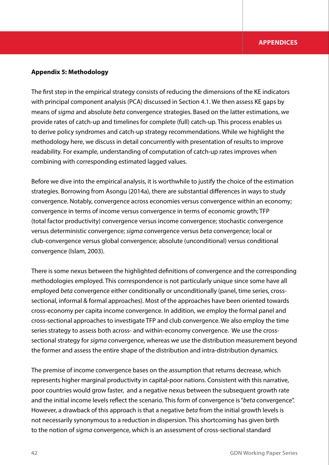### **Appendix 5: Methodology**

The first step in the empirical strategy consists of reducing the dimensions of the KE indicators with principal component analysis (PCA) discussed in Section 4.1. We then assess KE gaps by means of *sigma* and absolute *beta* convergence strategies. Based on the latter estimations, we provide rates of catch-up and timelines for complete (full) catch-up. This process enables us to derive policy syndromes and catch-up strategy recommendations. While we highlight the methodology here, we discuss in detail concurrently with presentation of results to improve readability. For example, understanding of computation of catch-up rates improves when combining with corresponding estimated lagged values.

Before we dive into the empirical analysis, it is worthwhile to justify the choice of the estimation strategies. Borrowing from Asongu (2014a), there are substantial differences in ways to study convergence. Notably, convergence across economies versus convergence within an economy; convergence in terms of income versus convergence in terms of economic growth; TFP (total factor productivity) convergence versus income convergence; stochastic convergence versus deterministic convergence; *sigma* convergence versus *beta* convergence; local or club-convergence versus global convergence; absolute (unconditional) versus conditional convergence (Islam, 2003).

There is some nexus between the highlighted definitions of convergence and the corresponding methodologies employed. This correspondence is not particularly unique since some have all employed *beta* convergence either conditionally or unconditionally (panel, time series, crosssectional, informal & formal approaches). Most of the approaches have been oriented towards cross-economy per capita income convergence. In addition, we employ the formal panel and cross-sectional approaches to investigate TFP and club convergence. We also employ the time series strategy to assess both across- and within-economy convergence. We use the crosssectional strategy for *sigma* convergence, whereas we use the distribution measurement beyond the former and assess the entire shape of the distribution and intra-distribution dynamics.

The premise of income convergence bases on the assumption that returns decrease, which represents higher marginal productivity in capital-poor nations. Consistent with this narrative, poor countries would grow faster, and a negative nexus between the subsequent growth rate and the initial income levels reflect the scenario. This form of convergence is "*beta* convergence". However, a drawback of this approach is that a negative *beta* from the initial growth levels is not necessarily synonymous to a reduction in dispersion. This shortcoming has given birth to the notion of *sigma* convergence, which is an assessment of cross-sectional standard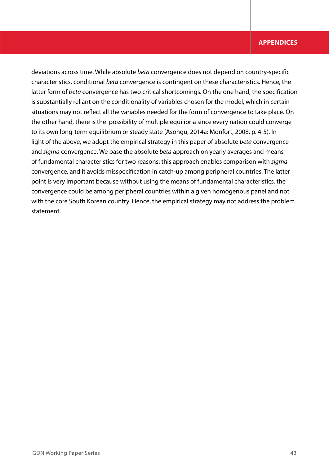## **APPENDICES**

deviations across time. While absolute *beta* convergence does not depend on country-specific characteristics, conditional *beta* convergence is contingent on these characteristics. Hence, the latter form of *beta* convergence has two critical shortcomings. On the one hand, the specification is substantially reliant on the conditionality of variables chosen for the model, which in certain situations may not reflect all the variables needed for the form of convergence to take place. On the other hand, there is the possibility of multiple equilibria since every nation could converge to its own long-term equilibrium or steady state (Asongu, 2014a: Monfort, 2008, p. 4-5). In light of the above, we adopt the empirical strategy in this paper of absolute *beta* convergence and *sigma* convergence. We base the absolute *beta* approach on yearly averages and means of fundamental characteristics for two reasons: this approach enables comparison with *sigma*  convergence, and it avoids misspecification in catch-up among peripheral countries. The latter point is very important because without using the means of fundamental characteristics, the convergence could be among peripheral countries within a given homogenous panel and not with the core South Korean country. Hence, the empirical strategy may not address the problem statement.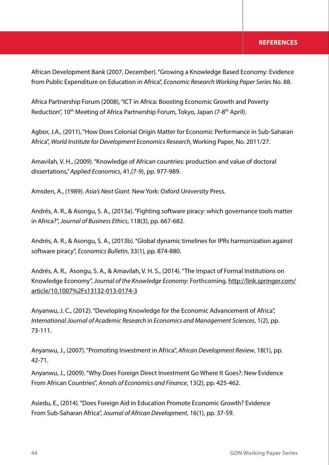## **REFERENCES**

African Development Bank (2007, December). "Growing a Knowledge Based Economy: Evidence from Public Expenditure on Education in Africa", *Economic Research Working Paper Series* No. 88.

Africa Partnership Forum (2008), "ICT in Africa: Boosting Economic Growth and Poverty Reduction", 10<sup>th</sup> Meeting of Africa Partnership Forum, Tokyo, Japan (7-8<sup>th</sup> April).

Agbor, J.A., (2011), "How Does Colonial Origin Matter for Economic Performance in Sub-Saharan Africa", *World Institute for Development Economics Research*, Working Paper, No. 2011/27.

Amavilah, V. H., (2009). "Knowledge of African countries: production and value of doctoral dissertations," *Applied Economics*, 41,(7-9), pp. 977-989.

Amsden, A., (1989). *Asia's Next Giant*. New York: Oxford University Press.

Andrés, A. R., & Asongu, S. A., (2013a). "Fighting software piracy: which governance tools matter in Africa?", *Journal of Business Ethics*, 118(3), pp. 667-682.

Andrés, A. R., & Asongu, S. A., (2013b). "Global dynamic timelines for IPRs harmonization against software piracy", *Economics Bulletin*, 33(1), pp. 874-880.

Andrés, A. R., Asongu, S. A., & Amavilah, V. H. S., (2014). "The Impact of Formal Institutions on Knowledge Economy", *Journal of the Knowledge Economy*: Forthcoming. http://link.springer.com/ article/10.1007%2Fs13132-013-0174-3

Anyanwu, J. C., (2012). "Developing Knowledge for the Economic Advancement of Africa", *International Journal of Academic Research in Economics and Management Sciences*, 1(2), pp. 73-111.

Anyanwu, J., (2007). "Promoting Investment in Africa", *African Development Review*, 18(1), pp. 42-71.

Anyanwu, J., (2009). "Why Does Foreign Direct Investment Go Where It Goes?: New Evidence From African Countries", *Annals of Economics and Finance*, 13(2), pp. 425-462.

Asiedu, E., (2014). "Does Foreign Aid in Education Promote Economic Growth? Evidence From Sub-Saharan Africa", *Journal of African Development*, 16(1), pp. 37-59.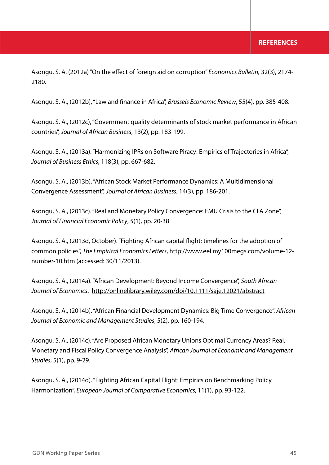Asongu, S. A. (2012a) "On the effect of foreign aid on corruption" *Economics Bulletin,* 32(3), 2174- 2180.

Asongu, S. A., (2012b), "Law and finance in Africa", *Brussels Economic Review*, 55(4), pp. 385-408.

Asongu, S. A., (2012c), "Government quality determinants of stock market performance in African countries", *Journal of African Business*, 13(2), pp. 183-199.

Asongu, S. A., (2013a). "Harmonizing IPRs on Software Piracy: Empirics of Trajectories in Africa", *Journal of Business Ethics*, 118(3), pp. 667-682.

Asongu, S. A., (2013b). "African Stock Market Performance Dynamics: A Multidimensional Convergence Assessment", *Journal of African Business*, 14(3), pp. 186-201.

Asongu, S. A., (2013c). "Real and Monetary Policy Convergence: EMU Crisis to the CFA Zone", *Journal of Financial Economic Policy*, 5(1), pp. 20-38.

Asongu, S. A., (2013d, October). "Fighting African capital flight: timelines for the adoption of common policies", *The Empirical Economics Letters*, http://www.eel.my100megs.com/volume-12 number-10.htm (accessed: 30/11/2013).

Asongu, S. A., (2014a). "African Development: Beyond Income Convergence", *South African Journal of Economics*, http://onlinelibrary.wiley.com/doi/10.1111/saje.12021/abstract

Asongu, S. A., (2014b). "African Financial Development Dynamics: Big Time Convergence", *African Journal of Economic and Management Studies*, 5(2), pp. 160-194.

Asongu, S. A., (2014c). "Are Proposed African Monetary Unions Optimal Currency Areas? Real, Monetary and Fiscal Policy Convergence Analysis", *African Journal of Economic and Management Studies*, 5(1), pp. 9-29.

Asongu, S. A., (2014d). "Fighting African Capital Flight: Empirics on Benchmarking Policy Harmonization", *European Journal of Comparative Economics*, 11(1), pp. 93-122.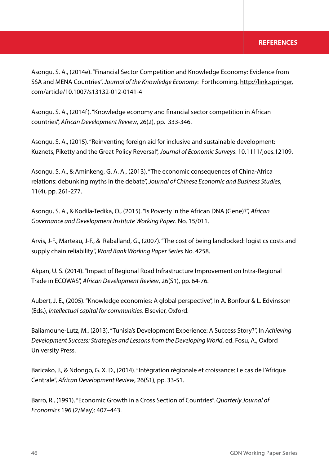Asongu, S. A., (2014e). "Financial Sector Competition and Knowledge Economy: Evidence from SSA and MENA Countries", *Journal of the Knowledge Economy*: Forthcoming. http://link.springer. com/article/10.1007/s13132-012-0141-4

Asongu, S. A., (2014f). "Knowledge economy and financial sector competition in African countries", *African Development Review*, 26(2), pp. 333-346.

Asongu, S. A., (2015). "Reinventing foreign aid for inclusive and sustainable development: Kuznets, Piketty and the Great Policy Reversal", *Journal of Economic Surveys*: 10.1111/joes.12109.

Asongu, S. A., & Aminkeng, G. A. A., (2013). "The economic consequences of China-Africa relations: debunking myths in the debate", *Journal of Chinese Economic and Business Studies*, 11(4), pp. 261-277.

Asongu, S. A., & Kodila-Tedika, O., (2015). "Is Poverty in the African DNA (Gene)?", *African Governance and Development Institute Working Paper*. No. 15/011.

Arvis, J-F., Marteau, J-F., & Raballand, G., (2007). "The cost of being landlocked: logistics costs and supply chain reliability", *Word Bank Working Paper Series* No. 4258.

Akpan, U. S. (2014). "Impact of Regional Road Infrastructure Improvement on Intra-Regional Trade in ECOWAS", *African Development Review*, 26(S1), pp. 64-76.

Aubert, J. E., (2005). "Knowledge economies: A global perspective", In A. Bonfour & L. Edvinsson (Eds.), *Intellectual capital for communities*. Elsevier, Oxford.

Baliamoune-Lutz, M., (2013). "Tunisia's Development Experience: A Success Story?", In *Achieving Development Success: Strategies and Lessons from the Developing World*, ed. Fosu, A., Oxford University Press.

Baricako, J., & Ndongo, G. X. D., (2014). "Intégration régionale et croissance: Le cas de l'Afrique Centrale", *African Development Review*, 26(S1), pp. 33-51.

Barro, R., (1991). "Economic Growth in a Cross Section of Countries". *Quarterly Journal of Economics* 196 (2/May): 407–443.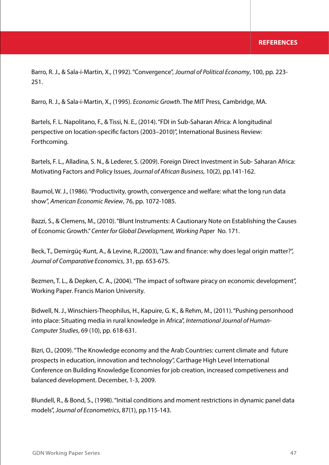Barro, R. J., & Sala-i-Martin, X., (1992). "Convergence", *Journal of Political Economy*, 100, pp. 223- 251.

Barro, R. J., & Sala-i-Martin, X., (1995). *Economic Growth*. The MIT Press, Cambridge, MA.

Bartels, F. L. Napolitano, F., & Tissi, N. E., (2014). "FDI in Sub-Saharan Africa: A longitudinal perspective on location-specific factors (2003–2010)", International Business Review: Forthcoming.

Bartels, F. L., Alladina, S. N., & Lederer, S. (2009). Foreign Direct Investment in Sub- Saharan Africa: Motivating Factors and Policy Issues, *Journal of African Business*, 10(2), pp.141-162.

Baumol, W. J., (1986). "Productivity, growth, convergence and welfare: what the long run data show", *American Economic Review*, 76, pp. 1072-1085.

Bazzi, S., & Clemens, M., (2010). "Blunt Instruments: A Cautionary Note on Establishing the Causes of Economic Growth." *Center for Global Development, Working Paper* No. 171.

Beck, T., Demirgüç-Kunt, A., & Levine, R.,(2003), "Law and finance: why does legal origin matter?", *Journal of Comparative Economics*, 31, pp. 653-675.

Bezmen, T. L., & Depken, C. A., (2004). "The impact of software piracy on economic development", Working Paper. Francis Marion University.

Bidwell, N. J., Winschiers-Theophilus, H., Kapuire, G. K., & Rehm, M., (2011). "Pushing personhood into place: Situating media in rural knowledge in Africa", *International Journal of Human-Computer Studies*, 69 (10), pp. 618-631.

Bizri, O., (2009). "The Knowledge economy and the Arab Countries: current climate and future prospects in education, innovation and technology", Carthage High Level International Conference on Building Knowledge Economies for job creation, increased competiveness and balanced development. December, 1-3, 2009.

Blundell, R., & Bond, S., (1998). "Initial conditions and moment restrictions in dynamic panel data models", *Journal of Econometrics*, 87(1), pp.115-143.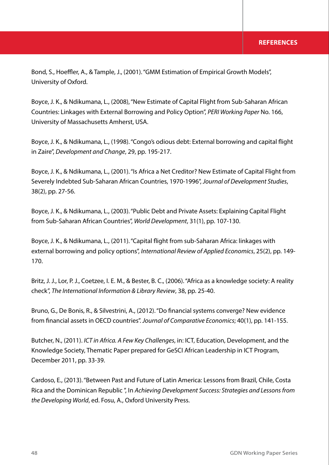Bond, S., Hoeffler, A., & Tample, J., (2001). "GMM Estimation of Empirical Growth Models", University of Oxford.

Boyce, J. K., & Ndikumana, L., (2008), "New Estimate of Capital Flight from Sub-Saharan African Countries: Linkages with External Borrowing and Policy Option", *PERI Working Paper* No. 166, University of Massachusetts Amherst, USA.

Boyce, J. K., & Ndikumana, L., (1998). "Congo's odious debt: External borrowing and capital flight in Zaire", *Development and Change*, 29, pp. 195-217.

Boyce, J. K., & Ndikumana, L., (2001). "Is Africa a Net Creditor? New Estimate of Capital Flight from Severely Indebted Sub-Saharan African Countries, 1970-1996", *Journal of Development Studies*, 38(2), pp. 27-56.

Boyce, J. K., & Ndikumana, L., (2003). "Public Debt and Private Assets: Explaining Capital Flight from Sub-Saharan African Countries", *World Development*, 31(1), pp. 107-130.

Boyce, J. K., & Ndikumana, L., (2011). "Capital flight from sub-Saharan Africa: linkages with external borrowing and policy options", *International Review of Applied Economics*, 25(2), pp. 149- 170.

Britz, J. J., Lor, P. J., Coetzee, I. E. M., & Bester, B. C., (2006). "Africa as a knowledge society: A reality check", *The International Information & Library Review*, 38, pp. 25-40.

Bruno, G., De Bonis, R., & Silvestrini, A., (2012). "Do financial systems converge? New evidence from financial assets in OECD countries". *Journal of Comparative Economics*; 40(1), pp. 141-155.

Butcher, N., (2011). *ICT in Africa. A Few Key Challenges*, in: ICT, Education, Development, and the Knowledge Society, Thematic Paper prepared for GeSCI African Leadership in ICT Program, December 2011, pp. 33-39.

Cardoso, E., (2013). "Between Past and Future of Latin America: Lessons from Brazil, Chile, Costa Rica and the Dominican Republic ", In *Achieving Development Success: Strategies and Lessons from the Developing World*, ed. Fosu, A., Oxford University Press.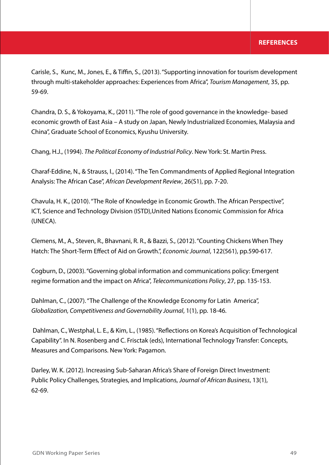Carisle, S., Kunc, M., Jones, E., & Tiffin, S., (2013). "Supporting innovation for tourism development through multi-stakeholder approaches: Experiences from Africa", *Tourism Management*, 35, pp. 59-69.

Chandra, D. S., & Yokoyama, K., (2011). "The role of good governance in the knowledge- based economic growth of East Asia – A study on Japan, Newly Industrialized Economies, Malaysia and China", Graduate School of Economics, Kyushu University.

Chang, H.J., (1994). *The Political Economy of Industrial Policy*. New York: St. Martin Press.

Charaf-Eddine, N., & Strauss, I., (2014). "The Ten Commandments of Applied Regional Integration Analysis: The African Case", *African Development Review*, 26(S1), pp. 7-20.

Chavula, H. K., (2010). "The Role of Knowledge in Economic Growth. The African Perspective", ICT, Science and Technology Division (ISTD),United Nations Economic Commission for Africa (UNECA).

Clemens, M., A., Steven, R., Bhavnani, R. R., & Bazzi, S., (2012). "Counting Chickens When They Hatch: The Short-Term Effect of Aid on Growth.", *Economic Journal*, 122(561), pp.590-617.

Cogburn, D., (2003). "Governing global information and communications policy: Emergent regime formation and the impact on Africa", *Telecommunications Policy*, 27, pp. 135-153.

Dahlman, C., (2007). "The Challenge of the Knowledge Economy for Latin America", *Globalization, Competitiveness and Governability Journal*, 1(1), pp. 18-46.

 Dahlman, C., Westphal, L. E., & Kim, L., (1985). "Reflections on Korea's Acquisition of Technological Capability". In N. Rosenberg and C. Frisctak (eds), International Technology Transfer: Concepts, Measures and Comparisons. New York: Pagamon.

Darley, W. K. (2012). Increasing Sub-Saharan Africa's Share of Foreign Direct Investment: Public Policy Challenges, Strategies, and Implications, *Journal of African Business*, 13(1), 62-69.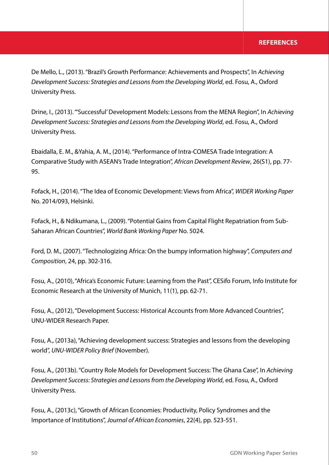De Mello, L., (2013). "Brazil's Growth Performance: Achievements and Prospects", In *Achieving Development Success: Strategies and Lessons from the Developing World*, ed. Fosu, A., Oxford University Press.

Drine, I., (2013). "'Successful' Development Models: Lessons from the MENA Region", In *Achieving Development Success: Strategies and Lessons from the Developing World*, ed. Fosu, A., Oxford University Press.

Ebaidalla, E. M., &Yahia, A. M., (2014). "Performance of Intra-COMESA Trade Integration: A Comparative Study with ASEAN's Trade Integration", *African Development Review*, 26(S1), pp. 77- 95.

Fofack, H., (2014). "The Idea of Economic Development: Views from Africa", *WIDER Working Paper* No. 2014/093, Helsinki.

Fofack, H., & Ndikumana, L., (2009). "Potential Gains from Capital Flight Repatriation from Sub-Saharan African Countries", *World Bank Working Paper* No. 5024.

Ford, D. M., (2007). "Technologizing Africa: On the bumpy information highway", *Computers and Composition*, 24, pp. 302-316.

Fosu, A., (2010), "Africa's Economic Future: Learning from the Past", CESifo Forum, Info Institute for Economic Research at the University of Munich, 11(1), pp. 62-71.

Fosu, A., (2012), "Development Success: Historical Accounts from More Advanced Countries", UNU-WIDER Research Paper.

Fosu, A., (2013a), "Achieving development success: Strategies and lessons from the developing world", *UNU-WIDER Policy Brief* (November).

Fosu, A., (2013b). "Country Role Models for Development Success: The Ghana Case", In *Achieving Development Success: Strategies and Lessons from the Developing World*, ed. Fosu, A., Oxford University Press.

Fosu, A., (2013c), "Growth of African Economies: Productivity, Policy Syndromes and the Importance of Institutions", *Journal of African Economies*, 22(4), pp. 523-551.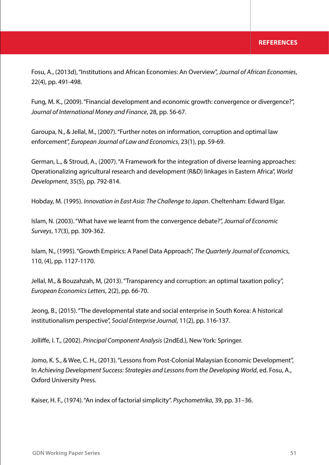Fosu, A., (2013d), "Institutions and African Economies: An Overview", *Journal of African Economies*, 22(4), pp. 491-498.

Fung, M. K., (2009). "Financial development and economic growth: convergence or divergence?", *Journal of International Money and Finance*, 28, pp. 56-67.

Garoupa, N., & Jellal, M., (2007). "Further notes on information, corruption and optimal law enforcement", *European Journal of Law and Economics*, 23(1), pp. 59-69.

German, L., & Stroud, A., (2007). "A Framework for the integration of diverse learning approaches: Operationalizing agricultural research and development (R&D) linkages in Eastern Africa", *World Development*, 35(5), pp. 792-814.

Hobday, M. (1995). *Innovation in East Asia: The Challenge to Japan*. Cheltenham: Edward Elgar.

Islam, N. (2003). "What have we learnt from the convergence debate?", *Journal of Economic Surveys*, 17(3), pp. 309-362.

Islam, N., (1995). "Growth Empirics: A Panel Data Approach", *The Quarterly Journal of Economics*, 110, (4), pp. 1127-1170.

Jellal, M., & Bouzahzah, M, (2013). "Transparency and corruption: an optimal taxation policy", *European Economics Letters*, 2(2), pp. 66-70.

Jeong, B., (2015). "The developmental state and social enterprise in South Korea: A historical institutionalism perspective", *Social Enterprise Journal*, 11(2), pp. 116-137.

Jolliffe, I. T., (2002). *Principal Component Analysis* (2ndEd.), New York: Springer.

Jomo, K. S., & Wee, C. H., (2013). "Lessons from Post-Colonial Malaysian Economic Development", In *Achieving Development Success: Strategies and Lessons from the Developing World*, ed. Fosu, A., Oxford University Press.

Kaiser, H. F., (1974). "An index of factorial simplicity". *Psychometrika*, 39, pp. 31–36.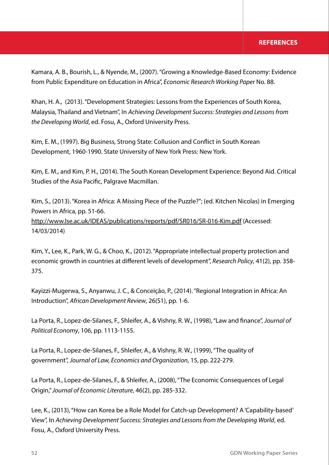## **REFERENCES**

Kamara, A. B., Bourish, L., & Nyende, M., (2007). "Growing a Knowledge-Based Economy: Evidence from Public Expenditure on Education in Africa", *Economic Research Working Paper* No. 88.

Khan, H. A., (2013). "Development Strategies: Lessons from the Experiences of South Korea, Malaysia, Thailand and Vietnam", In *Achieving Development Success: Strategies and Lessons from the Developing World*, ed. Fosu, A., Oxford University Press.

Kim, E. M., (1997). Big Business, Strong State: Collusion and Conflict in South Korean Development, 1960-1990. State University of New York Press: New York.

Kim, E. M., and Kim, P. H., (2014). The South Korean Development Experience: Beyond Aid. Critical Studies of the Asia Pacific, Palgrave Macmillan.

Kim, S., (2013). "Korea in Africa: A Missing Piece of the Puzzle?"; (ed. Kitchen Nicolas) in Emerging Powers in Africa, pp. 51-66. http://www.lse.ac.uk/IDEAS/publications/reports/pdf/SR016/SR-016-Kim.pdf (Accessed: 14/03/2014)

Kim, Y., Lee, K., Park, W. G., & Choo, K., (2012). "Appropriate intellectual property protection and economic growth in countries at different levels of development", *Research Policy*, 41(2), pp. 358- 375.

Kayizzi-Mugerwa, S., Anyanwu, J. C., & Conceição, P., (2014). "Regional Integration in Africa: An Introduction", *African Development Review*, 26(S1), pp. 1-6.

La Porta, R., Lopez-de-Silanes, F., Shleifer, A., & Vishny, R. W., (1998), "Law and finance", *Journal of Political Economy*, 106, pp. 1113-1155.

La Porta, R., Lopez-de-Silanes, F., Shleifer, A., & Vishny, R. W., (1999), "The quality of government", *Journal of Law, Economics and Organization*, 15, pp. 222-279.

La Porta, R., Lopez-de-Silanes, F., & Shleifer, A., (2008), "The Economic Consequences of Legal Origin," *Journal of Economic Literature*, 46(2), pp. 285-332.

Lee, K., (2013), "How can Korea be a Role Model for Catch-up Development? A 'Capability-based' View", In *Achieving Development Success: Strategies and Lessons from the Developing World*, ed. Fosu, A., Oxford University Press.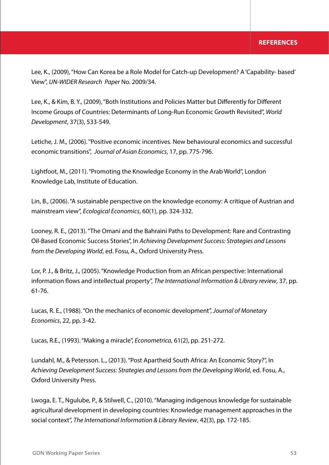Lee, K., (2009), "How Can Korea be a Role Model for Catch-up Development? A 'Capability- based' View", *UN-WIDER Research Paper* No. 2009/34.

Lee, K., & Kim, B. Y., (2009), "Both Institutions and Policies Matter but Differently for Different Income Groups of Countries: Determinants of Long-Run Economic Growth Revisited", *World Development*, 37(3), 533-549.

Letiche, J. M., (2006). "Positive economic incentives. New behavioural economics and successful economic transitions", *Journal of Asian Economics*, 17, pp. 775-796.

Lightfoot, M., (2011). "Promoting the Knowledge Economy in the Arab World", London Knowledge Lab, Institute of Education.

Lin, B., (2006). "A sustainable perspective on the knowledge economy: A critique of Austrian and mainstream view", *Ecological Economics*, 60(1), pp. 324-332.

Looney, R. E., (2013). "The Omani and the Bahraini Paths to Development: Rare and Contrasting Oil-Based Economic Success Stories", In *Achieving Development Success: Strategies and Lessons from the Developing World*, ed. Fosu, A., Oxford University Press.

Lor, P. J., & Britz, J., (2005). "Knowledge Production from an African perspective: International information flows and intellectual property", *The International Information & Library review*, 37, pp. 61-76.

Lucas, R. E., (1988). "On the mechanics of economic development", *Journal of Monetary Economics*, 22, pp. 3-42.

Lucas, R.E., (1993). "Making a miracle", *Econometrica*, 61(2), pp. 251-272.

Lundahl, M., & Petersson. L., (2013). "Post Apartheid South Africa: An Economic Story?", In *Achieving Development Success: Strategies and Lessons from the Developing World*, ed. Fosu, A., Oxford University Press.

Lwoga, E. T., Ngulube, P., & Stilwell, C., (2010). "Managing indigenous knowledge for sustainable agricultural development in developing countries: Knowledge management approaches in the social context", *The International Information & Library Review*, 42(3), pp. 172-185.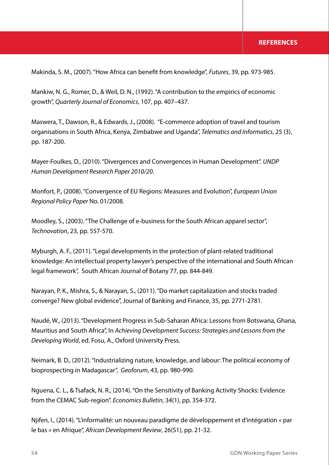Makinda, S. M., (2007). "How Africa can benefit from knowledge", *Futures*, 39, pp. 973-985.

Mankiw, N. G., Romer, D., & Weil, D. N., (1992). "A contribution to the empirics of economic growth", *Quarterly Journal of Economics*, 107, pp. 407–437.

Maswera, T., Dawson, R., & Edwards, J., (2008). "E-commerce adoption of travel and tourism organisations in South Africa, Kenya, Zimbabwe and Uganda", *Telematics and Informatics*, 25 (3), pp. 187-200.

Mayer-Foulkes, D., (2010). "Divergences and Convergences in Human Development". *UNDP Human Development Research Paper 2010/20*.

Monfort, P., (2008). "Convergence of EU Regions: Measures and Evolution", *European Union Regional Policy Paper* No. 01/2008.

Moodley, S., (2003). "The Challenge of e-business for the South African apparel sector", *Technovation*, 23, pp. 557-570.

Myburgh, A. F., (2011). "Legal developments in the protection of plant-related traditional knowledge: An intellectual property lawyer's perspective of the international and South African legal framework", South African Journal of Botany 77, pp. 844-849.

Narayan, P. K., Mishra, S., & Narayan, S., (2011). "Do market capitalization and stocks traded converge? New global evidence", Journal of Banking and Finance, 35, pp. 2771-2781.

Naudé, W., (2013). "Development Progress in Sub-Saharan Africa: Lessons from Botswana, Ghana, Mauritius and South Africa", In *Achieving Development Success: Strategies and Lessons from the Developing World*, ed. Fosu, A., Oxford University Press.

Neimark, B. D., (2012). "Industrializing nature, knowledge, and labour: The political economy of bioprospecting in Madagascar", *Geoforum*, 43, pp. 980-990.

Nguena, C. L., & Tsafack, N. R., (2014). "On the Sensitivity of Banking Activity Shocks: Evidence from the CEMAC Sub-region". *Economics Bulletin*, 34(1), pp. 354-372.

Njifen, I., (2014). "L'informalité: un nouveau paradigme de développement et d'intégration « par le bas » en Afrique", *African Development Review*, 26(S1), pp. 21-32.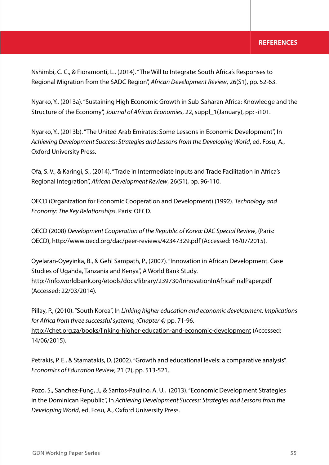## **REFERENCES**

Nshimbi, C. C., & Fioramonti, L., (2014). "The Will to Integrate: South Africa's Responses to Regional Migration from the SADC Region", *African Development Review*, 26(S1), pp. 52-63.

Nyarko, Y., (2013a). "Sustaining High Economic Growth in Sub-Saharan Africa: Knowledge and the Structure of the Economy", *Journal of African Economies*, 22, suppl\_1(January), pp: -i101.

Nyarko, Y., (2013b). "The United Arab Emirates: Some Lessons in Economic Development", In *Achieving Development Success: Strategies and Lessons from the Developing World*, ed. Fosu, A., Oxford University Press.

Ofa, S. V., & Karingi, S., (2014). "Trade in Intermediate Inputs and Trade Facilitation in Africa's Regional Integration", *African Development Review*, 26(S1), pp. 96-110.

OECD (Organization for Economic Cooperation and Development) (1992). *Technology and Economy: The Key Relationships*. Paris: OECD.

OECD (2008) *Development Cooperation of the Republic of Korea: DAC Special Review*, (Paris: OECD), http://www.oecd.org/dac/peer-reviews/42347329.pdf (Accessed: 16/07/2015).

Oyelaran-Oyeyinka, B., & Gehl Sampath, P., (2007). "Innovation in African Development. Case Studies of Uganda, Tanzania and Kenya", A World Bank Study. http://info.worldbank.org/etools/docs/library/239730/InnovationInAfricaFinalPaper.pdf (Accessed: 22/03/2014).

Pillay, P., (2010). "South Korea", In *Linking higher education and economic development: Implications for Africa from three successful systems, (Chapter 4)* pp. 71-96. http://chet.org.za/books/linking-higher-education-and-economic-development (Accessed: 14/06/2015).

Petrakis, P. E., & Stamatakis, D. (2002). "Growth and educational levels: a comparative analysis". *Economics of Education Review*, 21 (2), pp. 513-521.

Pozo, S., Sanchez-Fung, J., & Santos-Paulino, A. U., (2013). "Economic Development Strategies in the Dominican Republic", In *Achieving Development Success: Strategies and Lessons from the Developing World*, ed. Fosu, A., Oxford University Press.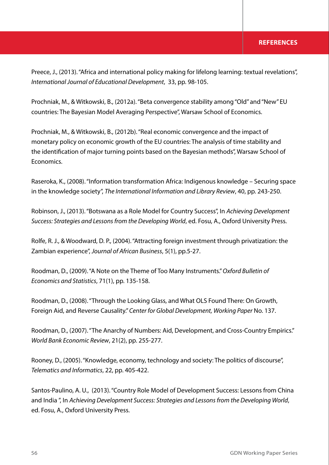#### **REFERENCES**

Preece, J., (2013). "Africa and international policy making for lifelong learning: textual revelations", *International Journal of Educational Development*, 33, pp. 98-105.

Prochniak, M., & Witkowski, B., (2012a). "Beta convergence stability among "Old" and "New" EU countries: The Bayesian Model Averaging Perspective", Warsaw School of Economics.

Prochniak, M., & Witkowski, B., (2012b). "Real economic convergence and the impact of monetary policy on economic growth of the EU countries: The analysis of time stability and the identification of major turning points based on the Bayesian methods", Warsaw School of Economics.

Raseroka, K., (2008). "Information transformation Africa: Indigenous knowledge – Securing space in the knowledge society", *The International Information and Library Review*, 40, pp. 243-250.

Robinson, J., (2013). "Botswana as a Role Model for Country Success", In *Achieving Development Success: Strategies and Lessons from the Developing World*, ed. Fosu, A., Oxford University Press.

Rolfe, R. J., & Woodward, D. P., (2004). "Attracting foreign investment through privatization: the Zambian experience", *Journal of African Business*, 5(1), pp.5-27.

Roodman, D., (2009). "A Note on the Theme of Too Many Instruments." *Oxford Bulletin of Economics and Statistics*, 71(1), pp. 135-158.

Roodman, D., (2008). "Through the Looking Glass, and What OLS Found There: On Growth, Foreign Aid, and Reverse Causality." *Center for Global Development, Working Paper* No. 137.

Roodman, D., (2007). "The Anarchy of Numbers: Aid, Development, and Cross-Country Empirics." *World Bank Economic Review*, 21(2), pp. 255-277.

Rooney, D., (2005). "Knowledge, economy, technology and society: The politics of discourse", *Telematics and Informatics*, 22, pp. 405-422.

Santos-Paulino, A. U., (2013). "Country Role Model of Development Success: Lessons from China and India ", In *Achieving Development Success: Strategies and Lessons from the Developing World*, ed. Fosu, A., Oxford University Press.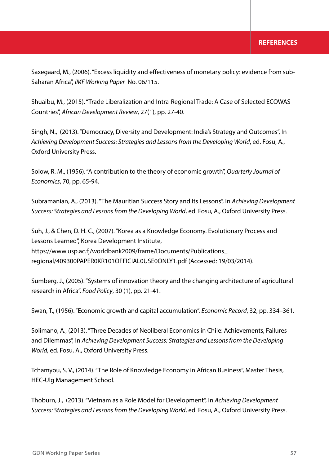Saxegaard, M., (2006). "Excess liquidity and effectiveness of monetary policy: evidence from sub-Saharan Africa", *IMF Working Paper* No. 06/115.

Shuaibu, M., (2015). "Trade Liberalization and Intra-Regional Trade: A Case of Selected ECOWAS Countries", *African Development Review*, 27(1), pp. 27-40.

Singh, N., (2013). "Democracy, Diversity and Development: India's Strategy and Outcomes", In *Achieving Development Success: Strategies and Lessons from the Developing World*, ed. Fosu, A., Oxford University Press.

Solow, R. M., (1956). "A contribution to the theory of economic growth", *Quarterly Journal of Economics*, 70, pp. 65-94.

Subramanian, A., (2013). "The Mauritian Success Story and Its Lessons", In *Achieving Development Success: Strategies and Lessons from the Developing World*, ed. Fosu, A., Oxford University Press.

Suh, J., & Chen, D. H. C., (2007). "Korea as a Knowledge Economy. Evolutionary Process and Lessons Learned", Korea Development Institute, https://www.usp.ac.fj/worldbank2009/frame/Documents/Publications\_ regional/409300PAPER0KR101OFFICIAL0USE0ONLY1.pdf (Accessed: 19/03/2014).

Sumberg, J., (2005). "Systems of innovation theory and the changing architecture of agricultural research in Africa", *Food Policy*, 30 (1), pp. 21-41.

Swan, T., (1956). "Economic growth and capital accumulation". *Economic Record*, 32, pp. 334–361.

Solimano, A., (2013). "Three Decades of Neoliberal Economics in Chile: Achievements, Failures and Dilemmas", In *Achieving Development Success: Strategies and Lessons from the Developing World*, ed. Fosu, A., Oxford University Press.

Tchamyou, S. V., (2014). "The Role of Knowledge Economy in African Business", Master Thesis, HEC-Ulg Management School.

Thoburn, J., (2013). "Vietnam as a Role Model for Development", In *Achieving Development Success: Strategies and Lessons from the Developing World*, ed. Fosu, A., Oxford University Press.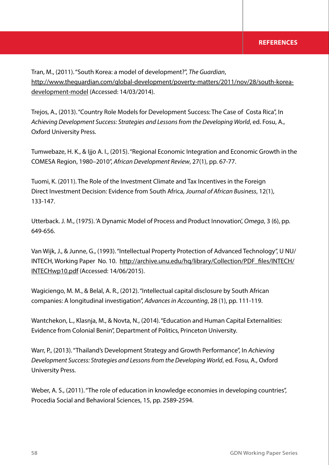Tran, M., (2011). "South Korea: a model of development?", *The Guardian*, http://www.theguardian.com/global-development/poverty-matters/2011/nov/28/south-koreadevelopment-model (Accessed: 14/03/2014).

Trejos, A., (2013). "Country Role Models for Development Success: The Case of Costa Rica", In *Achieving Development Success: Strategies and Lessons from the Developing World*, ed. Fosu, A., Oxford University Press.

Tumwebaze, H. K., & Ijjo A. I., (2015). "Regional Economic Integration and Economic Growth in the COMESA Region, 1980–2010", *African Development Review*, 27(1), pp. 67-77.

Tuomi, K. (2011). The Role of the Investment Climate and Tax Incentives in the Foreign Direct Investment Decision: Evidence from South Africa, *Journal of African Business*, 12(1), 133-147.

Utterback. J. M., (1975). 'A Dynamic Model of Process and Product Innovation', *Omega*, 3 (6), pp. 649-656.

Van Wijk, J., & Junne, G., (1993). "Intellectual Property Protection of Advanced Technology", U NU/ INTECH, Working Paper No. 10. http://archive.unu.edu/hq/library/Collection/PDF\_files/INTECH/ INTECHwp10.pdf (Accessed: 14/06/2015).

Wagiciengo, M. M., & Belal, A. R., (2012). "Intellectual capital disclosure by South African companies: A longitudinal investigation", *Advances in Accounting*, 28 (1), pp. 111-119.

Wantchekon, L., Klasnja, M., & Novta, N., (2014). "Education and Human Capital Externalities: Evidence from Colonial Benin", Department of Politics, Princeton University.

Warr, P., (2013). "Thailand's Development Strategy and Growth Performance", In *Achieving Development Success: Strategies and Lessons from the Developing World*, ed. Fosu, A., Oxford University Press.

Weber, A. S., (2011). "The role of education in knowledge economies in developing countries", Procedia Social and Behavioral Sciences, 15, pp. 2589-2594.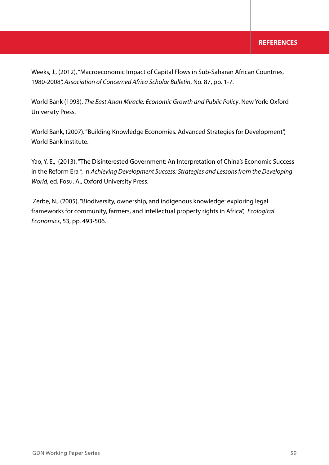Weeks, J., (2012), "Macroeconomic Impact of Capital Flows in Sub-Saharan African Countries, 1980-2008*", Association of Concerned Africa Scholar Bulletin*, No. 87, pp. 1-7.

World Bank (1993). *The East Asian Miracle: Economic Growth and Public Policy*. New York: Oxford University Press.

World Bank, (2007). "Building Knowledge Economies. Advanced Strategies for Development", World Bank Institute.

Yao, Y. E., (2013). "The Disinterested Government: An Interpretation of China's Economic Success in the Reform Era ", In *Achieving Development Success: Strategies and Lessons from the Developing World*, ed. Fosu, A., Oxford University Press.

 Zerbe, N., (2005). "Biodiversity, ownership, and indigenous knowledge: exploring legal frameworks for community, farmers, and intellectual property rights in Africa", *Ecological Economics*, 53, pp. 493-506.